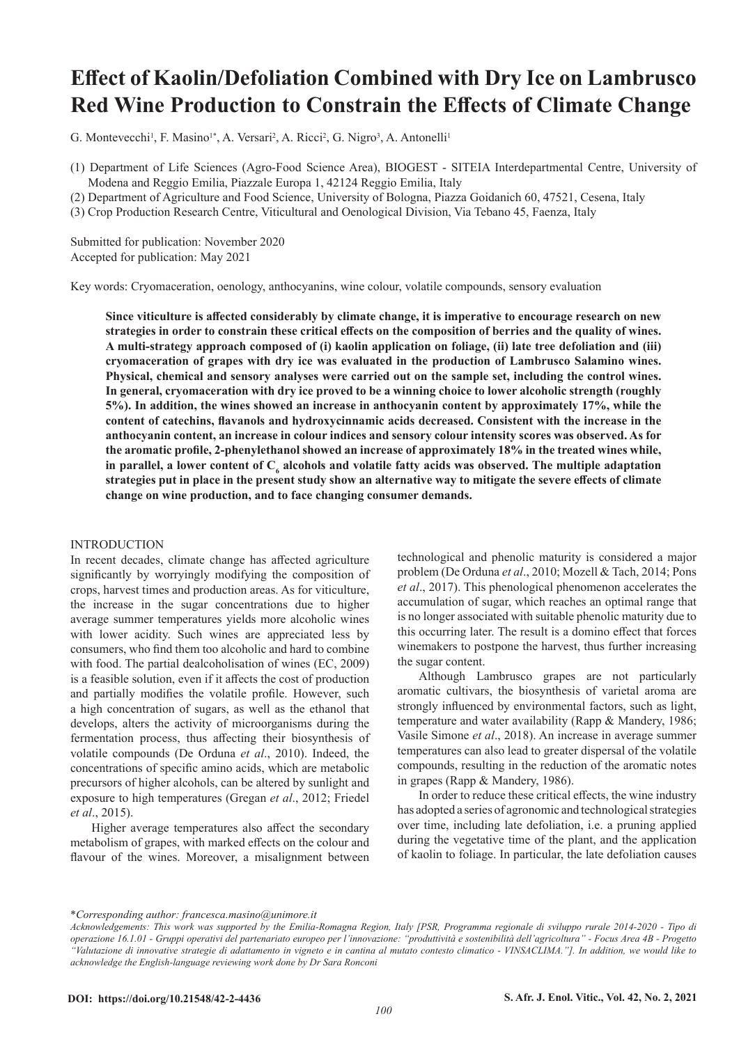# **Effect of Kaolin/Defoliation Combined with Dry Ice on Lambrusco Red Wine Production to Constrain the Effects of Climate Change**

G. Montevecchi<sup>1</sup>, F. Masino<sup>1\*</sup>, A. Versari<sup>2</sup>, A. Ricci<sup>2</sup>, G. Nigro<sup>3</sup>, A. Antonelli<sup>1</sup>

- (1) Department of Life Sciences (Agro-Food Science Area), BIOGEST SITEIA Interdepartmental Centre, University of Modena and Reggio Emilia, Piazzale Europa 1, 42124 Reggio Emilia, Italy
- (2) Department of Agriculture and Food Science, University of Bologna, Piazza Goidanich 60, 47521, Cesena, Italy
- (3) Crop Production Research Centre, Viticultural and Oenological Division, Via Tebano 45, Faenza, Italy

Submitted for publication: November 2020 Accepted for publication: May 2021

Key words: Cryomaceration, oenology, anthocyanins, wine colour, volatile compounds, sensory evaluation

**Since viticulture is affected considerably by climate change, it is imperative to encourage research on new strategies in order to constrain these critical effects on the composition of berries and the quality of wines. A multi-strategy approach composed of (i) kaolin application on foliage, (ii) late tree defoliation and (iii) cryomaceration of grapes with dry ice was evaluated in the production of Lambrusco Salamino wines. Physical, chemical and sensory analyses were carried out on the sample set, including the control wines. In general, cryomaceration with dry ice proved to be a winning choice to lower alcoholic strength (roughly 5%). In addition, the wines showed an increase in anthocyanin content by approximately 17%, while the content of catechins, flavanols and hydroxycinnamic acids decreased. Consistent with the increase in the anthocyanin content, an increase in colour indices and sensory colour intensity scores was observed. As for the aromatic profile, 2-phenylethanol showed an increase of approximately 18% in the treated wines while,**  in parallel, a lower content of  $\mathbf{C}_6$  alcohols and volatile fatty acids was observed. The multiple adaptation **strategies put in place in the present study show an alternative way to mitigate the severe effects of climate change on wine production, and to face changing consumer demands.**

#### INTRODUCTION

In recent decades, climate change has affected agriculture significantly by worryingly modifying the composition of crops, harvest times and production areas. As for viticulture, the increase in the sugar concentrations due to higher average summer temperatures yields more alcoholic wines with lower acidity. Such wines are appreciated less by consumers, who find them too alcoholic and hard to combine with food. The partial dealcoholisation of wines (EC, 2009) is a feasible solution, even if it affects the cost of production and partially modifies the volatile profile. However, such a high concentration of sugars, as well as the ethanol that develops, alters the activity of microorganisms during the fermentation process, thus affecting their biosynthesis of volatile compounds (De Orduna *et al*., 2010). Indeed, the concentrations of specific amino acids, which are metabolic precursors of higher alcohols, can be altered by sunlight and exposure to high temperatures (Gregan *et al*., 2012; Friedel *et al*., 2015).

Higher average temperatures also affect the secondary metabolism of grapes, with marked effects on the colour and flavour of the wines. Moreover, a misalignment between technological and phenolic maturity is considered a major problem (De Orduna *et al*., 2010; Mozell & Tach, 2014; Pons *et al*., 2017). This phenological phenomenon accelerates the accumulation of sugar, which reaches an optimal range that is no longer associated with suitable phenolic maturity due to this occurring later. The result is a domino effect that forces winemakers to postpone the harvest, thus further increasing the sugar content.

Although Lambrusco grapes are not particularly aromatic cultivars, the biosynthesis of varietal aroma are strongly influenced by environmental factors, such as light, temperature and water availability (Rapp & Mandery, 1986; Vasile Simone *et al*., 2018). An increase in average summer temperatures can also lead to greater dispersal of the volatile compounds, resulting in the reduction of the aromatic notes in grapes (Rapp & Mandery, 1986).

In order to reduce these critical effects, the wine industry has adopted a series of agronomic and technological strategies over time, including late defoliation, i.e. a pruning applied during the vegetative time of the plant, and the application of kaolin to foliage. In particular, the late defoliation causes

\**Corresponding author: francesca.masino@unimore.it*

*Acknowledgements: This work was supported by the Emilia-Romagna Region, Italy [PSR, Programma regionale di sviluppo rurale 2014-2020 - Tipo di operazione 16.1.01 - Gruppi operativi del partenariato europeo per l'innovazione: "produttività e sostenibilità dell'agricoltura" - Focus Area 4B - Progetto "Valutazione di innovative strategie di adattamento in vigneto e in cantina al mutato contesto climatico - VINSACLIMA."]. In addition, we would like to acknowledge the English-language reviewing work done by Dr Sara Ronconi*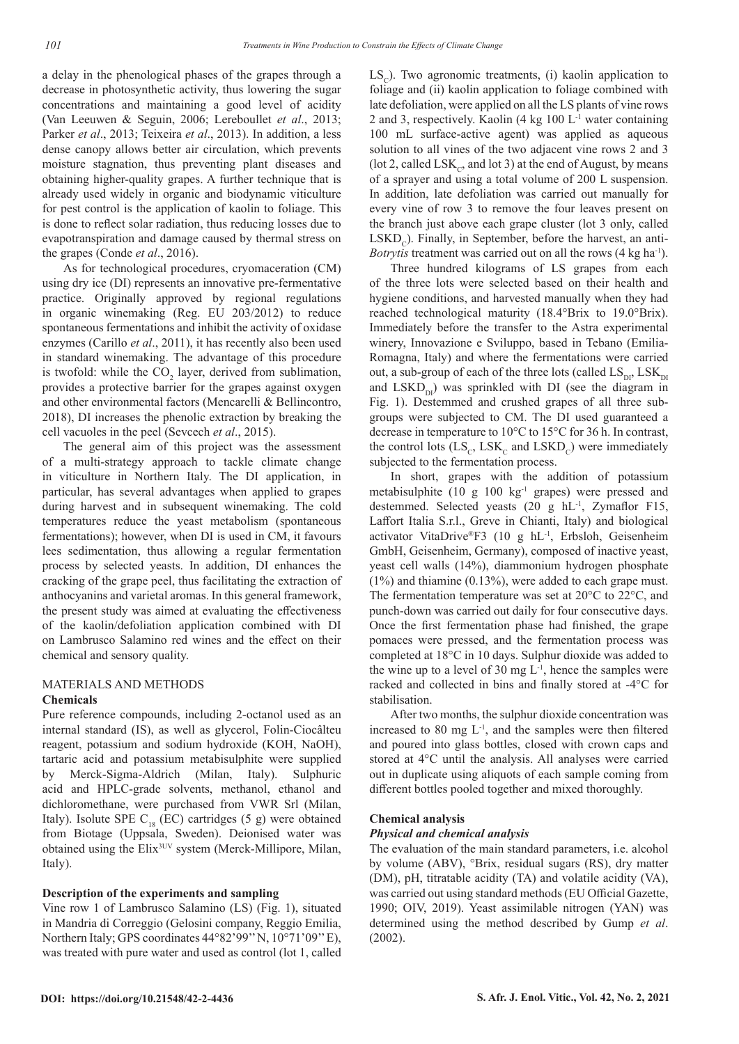a delay in the phenological phases of the grapes through a decrease in photosynthetic activity, thus lowering the sugar concentrations and maintaining a good level of acidity (Van Leeuwen & Seguin, 2006; Lereboullet *et al*., 2013; Parker *et al*., 2013; Teixeira *et al*., 2013). In addition, a less dense canopy allows better air circulation, which prevents moisture stagnation, thus preventing plant diseases and obtaining higher-quality grapes. A further technique that is already used widely in organic and biodynamic viticulture for pest control is the application of kaolin to foliage. This is done to reflect solar radiation, thus reducing losses due to evapotranspiration and damage caused by thermal stress on the grapes (Conde *et al*., 2016).

As for technological procedures, cryomaceration (CM) using dry ice (DI) represents an innovative pre-fermentative practice. Originally approved by regional regulations in organic winemaking (Reg. EU 203/2012) to reduce spontaneous fermentations and inhibit the activity of oxidase enzymes (Carillo *et al*., 2011), it has recently also been used in standard winemaking. The advantage of this procedure is twofold: while the  $CO_2$  layer, derived from sublimation, provides a protective barrier for the grapes against oxygen and other environmental factors (Mencarelli & Bellincontro, 2018), DI increases the phenolic extraction by breaking the cell vacuoles in the peel (Sevcech *et al*., 2015).

The general aim of this project was the assessment of a multi-strategy approach to tackle climate change in viticulture in Northern Italy. The DI application, in particular, has several advantages when applied to grapes during harvest and in subsequent winemaking. The cold temperatures reduce the yeast metabolism (spontaneous fermentations); however, when DI is used in CM, it favours lees sedimentation, thus allowing a regular fermentation process by selected yeasts. In addition, DI enhances the cracking of the grape peel, thus facilitating the extraction of anthocyanins and varietal aromas. In this general framework, the present study was aimed at evaluating the effectiveness of the kaolin/defoliation application combined with DI on Lambrusco Salamino red wines and the effect on their chemical and sensory quality.

## MATERIALS AND METHODS **Chemicals**

Pure reference compounds, including 2-octanol used as an internal standard (IS), as well as glycerol, Folin-Ciocâlteu reagent, potassium and sodium hydroxide (KOH, NaOH), tartaric acid and potassium metabisulphite were supplied by Merck-Sigma-Aldrich (Milan, Italy). Sulphuric acid and HPLC-grade solvents, methanol, ethanol and dichloromethane, were purchased from VWR Srl (Milan, Italy). Isolute SPE  $C_{18}$  (EC) cartridges (5 g) were obtained from Biotage (Uppsala, Sweden). Deionised water was obtained using the Elix3UV system (Merck-Millipore, Milan, Italy).

## **Description of the experiments and sampling**

Vine row 1 of Lambrusco Salamino (LS) (Fig. 1), situated in Mandria di Correggio (Gelosini company, Reggio Emilia, Northern Italy; GPS coordinates 44°82'99'' N, 10°71'09'' E), was treated with pure water and used as control (lot 1, called

 $LS<sub>c</sub>$ ). Two agronomic treatments, (i) kaolin application to foliage and (ii) kaolin application to foliage combined with late defoliation, were applied on all the LS plants of vine rows 2 and 3, respectively. Kaolin  $(4 \text{ kg } 100 \text{ L}^{-1})$  water containing 100 mL surface-active agent) was applied as aqueous solution to all vines of the two adjacent vine rows 2 and 3 (lot 2, called LSK $<sub>c</sub>$ , and lot 3) at the end of August, by means</sub> of a sprayer and using a total volume of 200 L suspension. In addition, late defoliation was carried out manually for every vine of row 3 to remove the four leaves present on the branch just above each grape cluster (lot 3 only, called  $LSKD<sub>c</sub>$ ). Finally, in September, before the harvest, an anti-*Botrytis* treatment was carried out on all the rows (4 kg ha<sup>-1</sup>).

Three hundred kilograms of LS grapes from each of the three lots were selected based on their health and hygiene conditions, and harvested manually when they had reached technological maturity (18.4°Brix to 19.0°Brix). Immediately before the transfer to the Astra experimental winery, Innovazione e Sviluppo, based in Tebano (Emilia-Romagna, Italy) and where the fermentations were carried out, a sub-group of each of the three lots (called  $LS_{\text{DL}}$ ,  $LSK_{\text{DL}}$ and  $LSKD_{\text{rel}}$ ) was sprinkled with DI (see the diagram in Fig. 1). Destemmed and crushed grapes of all three subgroups were subjected to CM. The DI used guaranteed a decrease in temperature to 10°C to 15°C for 36 h. In contrast, the control lots  $(LS_c, LSK_c$  and  $LSKD_c)$  were immediately subjected to the fermentation process.

In short, grapes with the addition of potassium metabisulphite  $(10 \text{ g } 100 \text{ kg}^{-1} \text{ grapes})$  were pressed and destemmed. Selected yeasts (20 g hL-1, Zymaflor F15, Laffort Italia S.r.l., Greve in Chianti, Italy) and biological activator VitaDrive®F3 (10 g hL-1, Erbsloh, Geisenheim GmbH, Geisenheim, Germany), composed of inactive yeast, yeast cell walls (14%), diammonium hydrogen phosphate  $(1\%)$  and thiamine  $(0.13\%)$ , were added to each grape must. The fermentation temperature was set at 20°C to 22°C, and punch-down was carried out daily for four consecutive days. Once the first fermentation phase had finished, the grape pomaces were pressed, and the fermentation process was completed at 18°C in 10 days. Sulphur dioxide was added to the wine up to a level of 30 mg  $L^{-1}$ , hence the samples were racked and collected in bins and finally stored at -4°C for stabilisation.

After two months, the sulphur dioxide concentration was increased to 80 mg  $L^{-1}$ , and the samples were then filtered and poured into glass bottles, closed with crown caps and stored at 4°C until the analysis. All analyses were carried out in duplicate using aliquots of each sample coming from different bottles pooled together and mixed thoroughly.

## **Chemical analysis**

## *Physical and chemical analysis*

The evaluation of the main standard parameters, i.e. alcohol by volume (ABV), °Brix, residual sugars (RS), dry matter (DM), pH, titratable acidity (TA) and volatile acidity (VA), was carried out using standard methods (EU Official Gazette, 1990; OIV, 2019). Yeast assimilable nitrogen (YAN) was determined using the method described by Gump *et al*. (2002).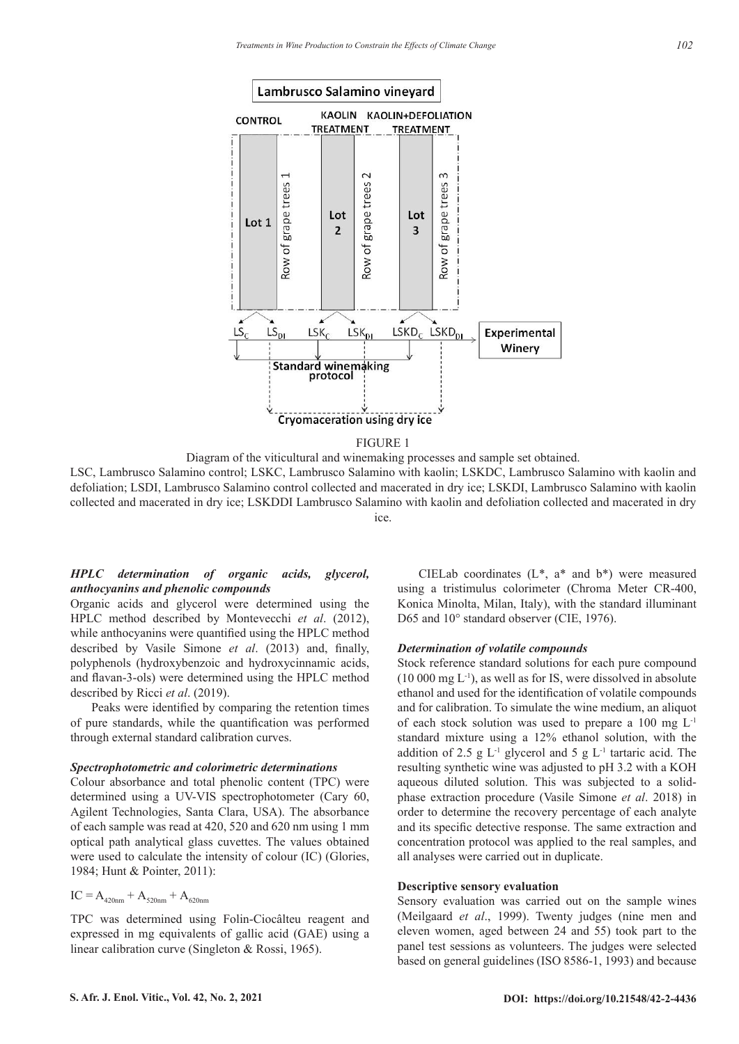

<sup>1</sup> FIGURE 1

Diagram of the viticultural and winemaking processes and sample set obtained.

LSC, Lambrusco Salamino control; LSKC, Lambrusco Salamino with kaolin; LSKDC, Lambrusco Salamino with kaolin and defoliation; LSDI, Lambrusco Salamino control collected and macerated in dry ice; LSKDI, Lambrusco Salamino with kaolin collected and macerated in dry ice; LSKDDI Lambrusco Salamino with kaolin and defoliation collected and macerated in dry ice.

# *HPLC determination of organic acids, glycerol, anthocyanins and phenolic compounds*

Organic acids and glycerol were determined using the HPLC method described by Montevecchi *et al*. (2012), while anthocyanins were quantified using the HPLC method described by Vasile Simone *et al*. (2013) and, finally, polyphenols (hydroxybenzoic and hydroxycinnamic acids, and flavan-3-ols) were determined using the HPLC method described by Ricci *et al*. (2019).

Peaks were identified by comparing the retention times of pure standards, while the quantification was performed through external standard calibration curves.

#### *Spectrophotometric and colorimetric determinations*

Colour absorbance and total phenolic content (TPC) were determined using a UV-VIS spectrophotometer (Cary 60, Agilent Technologies, Santa Clara, USA). The absorbance of each sample was read at 420, 520 and 620 nm using 1 mm optical path analytical glass cuvettes. The values obtained were used to calculate the intensity of colour (IC) (Glories, 1984; Hunt & Pointer, 2011):

$$
IC = A_{420nm} + A_{520nm} + A_{620nm}
$$

TPC was determined using Folin-Ciocâlteu reagent and expressed in mg equivalents of gallic acid (GAE) using a linear calibration curve (Singleton & Rossi, 1965).

CIELab coordinates  $(L^*, a^*$  and  $b^*)$  were measured using a tristimulus colorimeter (Chroma Meter CR-400, Konica Minolta, Milan, Italy), with the standard illuminant D65 and  $10^{\circ}$  standard observer (CIE, 1976).

#### *Determination of volatile compounds*

Stock reference standard solutions for each pure compound  $(10\ 000 \text{ mg } L^{-1})$ , as well as for IS, were dissolved in absolute ethanol and used for the identification of volatile compounds and for calibration. To simulate the wine medium, an aliquot of each stock solution was used to prepare a 100 mg L-1 standard mixture using a 12% ethanol solution, with the addition of 2.5 g  $L^{-1}$  glycerol and 5 g  $L^{-1}$  tartaric acid. The resulting synthetic wine was adjusted to pH 3.2 with a KOH aqueous diluted solution. This was subjected to a solidphase extraction procedure (Vasile Simone *et al*. 2018) in order to determine the recovery percentage of each analyte 1 and its specific detective response. The same extraction and concentration protocol was applied to the real samples, and all analyses were carried out in duplicate.

## **Descriptive sensory evaluation**

Sensory evaluation was carried out on the sample wines (Meilgaard *et al*., 1999). Twenty judges (nine men and eleven women, aged between 24 and 55) took part to the panel test sessions as volunteers. The judges were selected based on general guidelines (ISO 8586-1, 1993) and because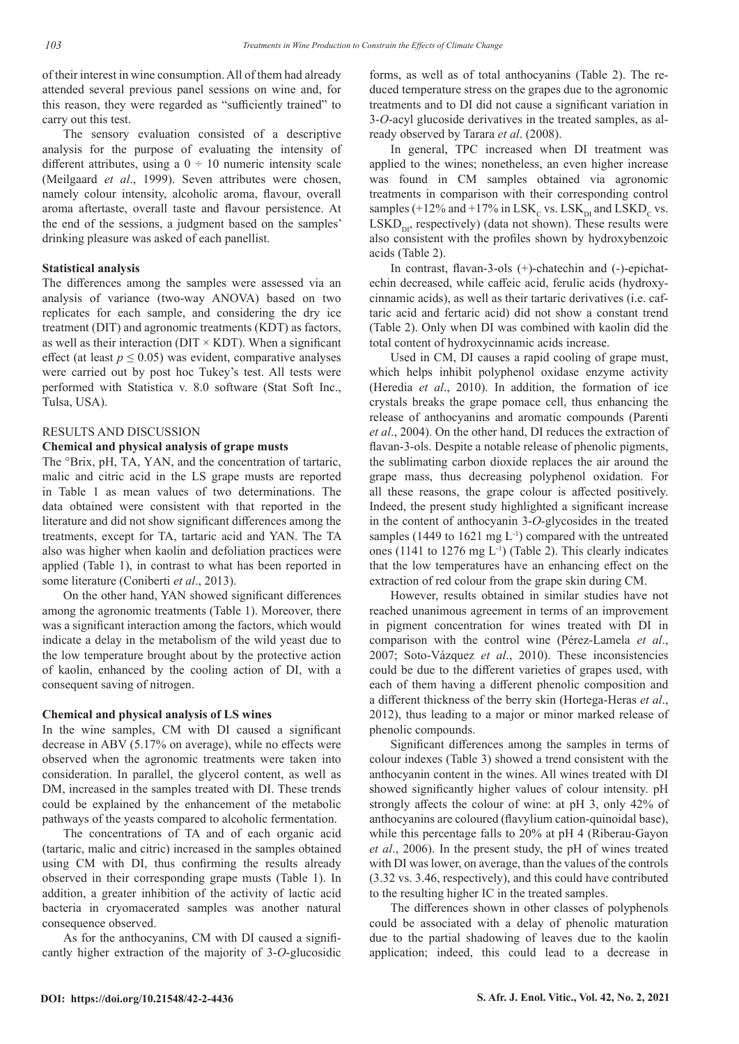of their interest in wine consumption. All of them had already attended several previous panel sessions on wine and, for this reason, they were regarded as "sufficiently trained" to carry out this test.

The sensory evaluation consisted of a descriptive analysis for the purpose of evaluating the intensity of different attributes, using a  $0 \div 10$  numeric intensity scale (Meilgaard *et al*., 1999). Seven attributes were chosen, namely colour intensity, alcoholic aroma, flavour, overall aroma aftertaste, overall taste and flavour persistence. At the end of the sessions, a judgment based on the samples' drinking pleasure was asked of each panellist.

## **Statistical analysis**

The differences among the samples were assessed via an analysis of variance (two-way ANOVA) based on two replicates for each sample, and considering the dry ice treatment (DIT) and agronomic treatments (KDT) as factors, as well as their interaction ( $\text{DIT} \times \text{KDT}$ ). When a significant effect (at least  $p \leq 0.05$ ) was evident, comparative analyses were carried out by post hoc Tukey's test. All tests were performed with Statistica v. 8.0 software (Stat Soft Inc., Tulsa, USA).

## RESULTS AND DISCUSSION

#### **Chemical and physical analysis of grape musts**

The °Brix, pH, TA, YAN, and the concentration of tartaric, malic and citric acid in the LS grape musts are reported in Table 1 as mean values of two determinations. The data obtained were consistent with that reported in the literature and did not show significant differences among the treatments, except for TA, tartaric acid and YAN. The TA also was higher when kaolin and defoliation practices were applied (Table 1), in contrast to what has been reported in some literature (Coniberti *et al*., 2013).

On the other hand, YAN showed significant differences among the agronomic treatments (Table 1). Moreover, there was a significant interaction among the factors, which would indicate a delay in the metabolism of the wild yeast due to the low temperature brought about by the protective action of kaolin, enhanced by the cooling action of DI, with a consequent saving of nitrogen.

## **Chemical and physical analysis of LS wines**

In the wine samples, CM with DI caused a significant decrease in ABV (5.17% on average), while no effects were observed when the agronomic treatments were taken into consideration. In parallel, the glycerol content, as well as DM, increased in the samples treated with DI. These trends could be explained by the enhancement of the metabolic pathways of the yeasts compared to alcoholic fermentation.

The concentrations of TA and of each organic acid (tartaric, malic and citric) increased in the samples obtained using CM with DI, thus confirming the results already observed in their corresponding grape musts (Table 1). In addition, a greater inhibition of the activity of lactic acid bacteria in cryomacerated samples was another natural consequence observed.

As for the anthocyanins, CM with DI caused a significantly higher extraction of the majority of 3-*O*-glucosidic

forms, as well as of total anthocyanins (Table 2). The reduced temperature stress on the grapes due to the agronomic treatments and to DI did not cause a significant variation in 3-*O*-acyl glucoside derivatives in the treated samples, as already observed by Tarara *et al*. (2008).

In general, TPC increased when DI treatment was applied to the wines; nonetheless, an even higher increase was found in CM samples obtained via agronomic treatments in comparison with their corresponding control samples (+12% and +17% in LSK<sub>C</sub> vs. LSK<sub>DI</sub> and LSKD<sub>C</sub> vs.  $LSKD_{\text{tot}}$ , respectively) (data not shown). These results were also consistent with the profiles shown by hydroxybenzoic acids (Table 2).

In contrast, flavan-3-ols (+)-chatechin and (-)-epichatechin decreased, while caffeic acid, ferulic acids (hydroxycinnamic acids), as well as their tartaric derivatives (i.e. caftaric acid and fertaric acid) did not show a constant trend (Table 2). Only when DI was combined with kaolin did the total content of hydroxycinnamic acids increase.

Used in CM, DI causes a rapid cooling of grape must, which helps inhibit polyphenol oxidase enzyme activity (Heredia *et al*., 2010). In addition, the formation of ice crystals breaks the grape pomace cell, thus enhancing the release of anthocyanins and aromatic compounds (Parenti *et al*., 2004). On the other hand, DI reduces the extraction of flavan-3-ols. Despite a notable release of phenolic pigments, the sublimating carbon dioxide replaces the air around the grape mass, thus decreasing polyphenol oxidation. For all these reasons, the grape colour is affected positively. Indeed, the present study highlighted a significant increase in the content of anthocyanin 3-*O*-glycosides in the treated samples (1449 to 1621 mg  $L^{-1}$ ) compared with the untreated ones (1141 to 1276 mg  $L^{-1}$ ) (Table 2). This clearly indicates that the low temperatures have an enhancing effect on the extraction of red colour from the grape skin during CM.

However, results obtained in similar studies have not reached unanimous agreement in terms of an improvement in pigment concentration for wines treated with DI in comparison with the control wine (Pérez-Lamela *et al*., 2007; Soto-Vázquez *et al*., 2010). These inconsistencies could be due to the different varieties of grapes used, with each of them having a different phenolic composition and a different thickness of the berry skin (Hortega-Heras *et al*., 2012), thus leading to a major or minor marked release of phenolic compounds.

Significant differences among the samples in terms of colour indexes (Table 3) showed a trend consistent with the anthocyanin content in the wines. All wines treated with DI showed significantly higher values of colour intensity. pH strongly affects the colour of wine: at pH 3, only 42% of anthocyanins are coloured (flavylium cation-quinoidal base), while this percentage falls to 20% at pH 4 (Riberau-Gayon *et al*., 2006). In the present study, the pH of wines treated with DI was lower, on average, than the values of the controls (3.32 vs. 3.46, respectively), and this could have contributed to the resulting higher IC in the treated samples.

The differences shown in other classes of polyphenols could be associated with a delay of phenolic maturation due to the partial shadowing of leaves due to the kaolin application; indeed, this could lead to a decrease in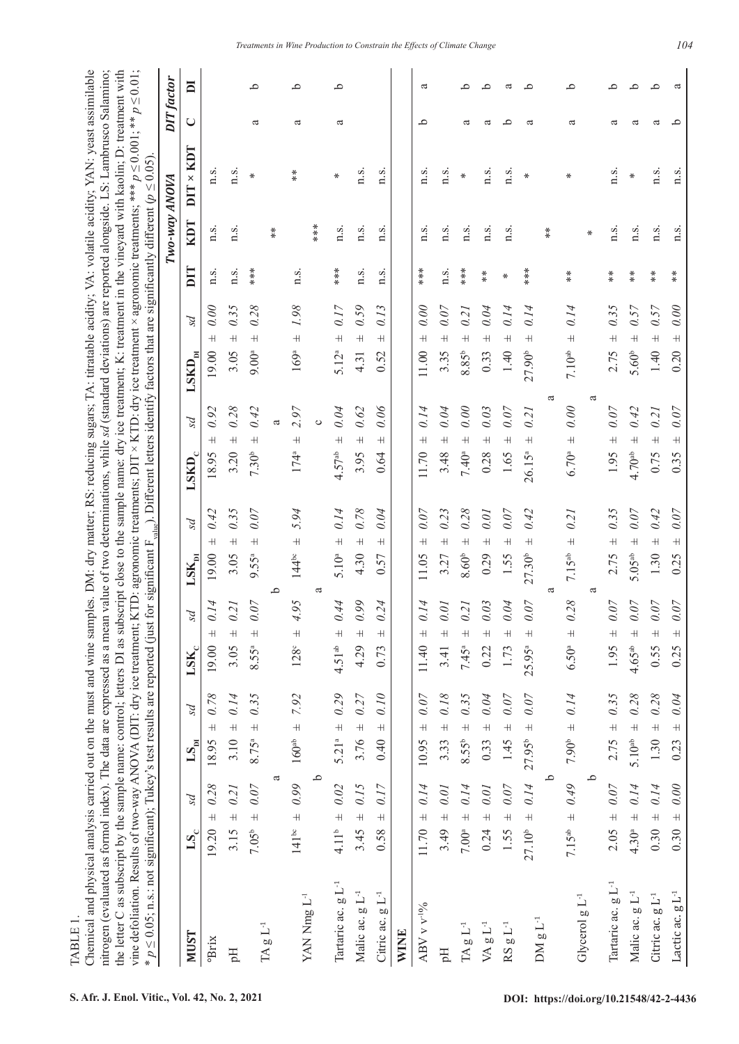| TABLE 1.                                                                                                                                                                                                     |
|--------------------------------------------------------------------------------------------------------------------------------------------------------------------------------------------------------------|
| Chemical and physical analysis carried out on the must and wine samples. DM: dry matter; RS: reducing sugars; TA: titratable acidity; VA: volatile acidity; YAN: yeast assimilable                           |
| nitrogen (evaluated as formol index). The data are expressed as a mean value of two determinations, while sal (standard deviations) are reported alongside. LS: Lambrusco Salamino;                          |
| the letter C as subscript by the sample name: control; letters DI as subscript close to the sample name: dry ice treatment; K: treatment in the vineyard with kaolin; D: treatment with                      |
| vine defoliation. Results of two-way ANOVA (DIT: dry ice treatment; KTD: agronomic treatments; DIT × KTD: dry ice treatment × agronomic treatments; *** $p \le 0.001$ ; ** $p \le 0.01$ ;                    |
| * $p \le 0.05$ ; n.s.: not significant); Tukey's test results are reported (just for significant F <sub>ahine</sub> ). Different letters identify factors that are significantly different ( $p \le 0.05$ ). |

| $* p \le 0.05$ ; n.s.: not significant); Tukey's test results are reported (just |                                               |                                                      |                                                |                                              |                                              | for significant F <sub>value</sub> ). Different letters identify factors that are significantly different ( $p \le 0.05$ ) |               |                      |                    |                   |                |
|----------------------------------------------------------------------------------|-----------------------------------------------|------------------------------------------------------|------------------------------------------------|----------------------------------------------|----------------------------------------------|----------------------------------------------------------------------------------------------------------------------------|---------------|----------------------|--------------------|-------------------|----------------|
|                                                                                  |                                               |                                                      |                                                |                                              |                                              |                                                                                                                            |               | Two-way ANOVA        |                    | <b>DIT</b> factor |                |
| <b>NUST</b>                                                                      | ps<br>$\mathbf{LS}_{\mathbf{C}}$              | ΡS<br>$\mathbf{L}\mathbf{S}_{\mathbf{p} \mathbf{I}}$ | ΡS<br>$\mathbf{LSK}_{\mathrm{c}}$              | ΡS<br>$\mathbf{LSK}_{\mathbf{p}_\mathbf{l}}$ | ΡS<br>$\text{LSKD}_\text{c}$                 | ps<br>$\text{LSKD}_{\text{DI}}$                                                                                            | DIT           | <b>LCDY</b>          | $LQ \times$<br>DIT | $\cup$            | $\blacksquare$ |
| oBrix                                                                            | 0.28<br>$\overline{+}$<br>19.20               | $0.78\,$<br>$\overline{+}$<br>18.95                  | 0.14<br>$\overline{+}$<br>19.00                | 0.42<br>$\overline{+}$<br>19.00              | 0.92<br>$^+$<br>18.95                        | 0.00<br>$\overline{+}$<br>19.00                                                                                            | n.s.          | n.s.                 | n.s.               |                   |                |
| $\mathbb{H}$                                                                     | 0.21<br>$\overline{+}$<br>3.15                | 0.14<br>$3.10 \pm$                                   | 0.21<br>$\overline{+}$<br>3.05                 | 0.35<br>$\overline{+}$<br>3.05               | 0.28<br>$\overline{+}$<br>3.20               | 0.35<br>$^+$<br>3.05                                                                                                       | n.s.          | n.s.                 | n.s.               |                   |                |
|                                                                                  | $0.07$<br>$\overline{+}$<br>7.05 <sup>b</sup> | 0.35<br>$8.75^{\circ}$ ±                             | 0.07<br>$\overline{+}$<br>8.55a                | 0.07<br>$\overline{+}$<br>9.55ª              | 0.42<br>$\overline{+}$<br>7.30 <sup>b</sup>  | 0.28<br>$\overline{+}$<br>$9.00^{a}$                                                                                       | $***$         |                      | ₩                  | ದ                 | ٩              |
| $\rm{TA}$ g L $^{\rm{-1}}$                                                       |                                               | ದ                                                    |                                                | م                                            |                                              |                                                                                                                            |               | $*$                  |                    |                   |                |
| YAN Nmg L <sup>-1</sup>                                                          | 6.041<br>$141^{\circ}$                        | 7.92<br>$160^{ab}$ $\pm$                             | 4.95<br>$+$<br>$128^\circ$                     | 5.94<br>$\overline{+}$<br>$144^{\circ}$      | 2.97<br>$\overline{+}$<br>174ª               | 1.98<br>$\overline{+}$<br>$169^{\rm a}$                                                                                    | n.s.          |                      | $*$                | ದ                 | ٩              |
|                                                                                  |                                               | ٩                                                    |                                                | ß                                            | Ò                                            |                                                                                                                            |               | ***                  |                    |                   |                |
| Tartaric ac. g L <sup>-1</sup>                                                   | 0.02<br>$4.11b$ $\pm$                         | 0.29<br>$5.21^{a}$ ±                                 | 0.44<br>$\overline{+}$<br>$4.51^{ab}$          | 0.14<br>$\overline{+}$<br>5.10 <sup>a</sup>  | 0.04<br>$\overline{+}$<br>4.57 <sup>ab</sup> | 0.17<br>$\overline{+}$<br>5.12 <sup>a</sup>                                                                                | ***           | n.s.                 | ⋇                  | a                 | ٩              |
| Malic ac. g L <sup>-1</sup>                                                      | 3.45 $\pm$ 0.15                               | 3.76 $\pm$ 0.27                                      | 0.99<br>$\overline{+}$<br>4.29                 | 0.78<br>$\overline{+}$<br>4.30               | 0.62<br>$\overline{+}$<br>3.95               | 0.59<br>$\overline{+}$<br>4.31                                                                                             | n.s.          | n.s.                 | n.s.               |                   |                |
| Citric ac. g L <sup>-1</sup>                                                     | 0.17<br>$\overline{+}$<br>0.58                | 0.10<br>$\overline{+}$<br>0.40                       | 0.24<br>$^+$<br>0.73                           | 0.04<br>$^+$<br>0.57                         | 0.06<br>$^+$<br>0.64                         | 0.13<br>$^+$<br>0.52                                                                                                       | n.s.          | n.s.                 | n.s.               |                   |                |
| <b>WINE</b>                                                                      |                                               |                                                      |                                                |                                              |                                              |                                                                                                                            |               |                      |                    |                   |                |
| ABV v v <sup>-19</sup> / <sub>0</sub>                                            | 0.14<br>$11.70 +$                             | 0.07<br>$\overline{+}$<br>10.95                      | 0.14<br>$\overline{+}$<br>11.40                | 0.07<br>$\overline{+}$<br>11.05              | 0.14<br>$\overline{+}$<br>11.70              | $0.00$<br>$\overline{+}$<br>11.00                                                                                          | ***           | n.s.                 | n.s.               | م                 | $\mathfrak{a}$ |
| Hq                                                                               | 3.49 $\pm$ 0.01                               | 0.18<br>$3.33 \pm$                                   | 0.01<br>$\overline{+}$<br>3.41                 | 0.23<br>$\overline{+}$<br>3.27               | 0.04<br>$\overline{+}$<br>3.48               | 0.07<br>$\overline{+}$<br>3.35                                                                                             | n.s.          | n.s.                 | n.s.               |                   |                |
| $\rm{TA}$ g $\rm{L}^{-1}$                                                        | $7.00^{\circ} \pm 0.14$                       | 0.35<br>$8.55^b$ $\pm$                               | 0.21<br>$\overline{+}$<br>7.45 <sup>a</sup>    | 0.28<br>$\overline{+}$<br>$8.60b$            | 0.00<br>$\overline{+}$<br>7.40 <sup>a</sup>  | 0.21<br>$\overline{+}$<br>$8.85^{\rm b}$                                                                                   | ***           | n.s.                 | $\ast$             | ದ                 | $\circ$        |
| VA g $L^{-1}$                                                                    | 0.01<br>$\overline{+}$<br>0.24                | 0.04<br>$\overline{+}$<br>0.33                       | 0.03<br>$\overline{+}$<br>0.22                 | 0.01<br>$\overline{+}$<br>0.29               | 0.03<br>$\overline{+}$<br>0.28               | 0.04<br>$\overline{+}$<br>0.33                                                                                             | $*$           | n.s.                 | n.s.               | ದ                 | ≏              |
| $RSgL^{-1}$                                                                      | $0.07$<br>$\overline{+}$<br>1.55              | 0.07<br>$1.45 \pm$                                   | 0.04<br>$^+$<br>1.73                           | 0.07<br>$\overline{+}$<br>1.55               | 0.07<br>$\overline{+}$<br>1.65               | 0.14<br>$\overline{+}$<br>1.40                                                                                             | ⋇             | n.s.                 | n.s.               | ے                 | ದ              |
|                                                                                  | 0.14<br>$\overline{+}$<br>27.10 <sup>b</sup>  | $0.07$<br>$27.95^b \pm$                              | 0.07<br>$^+$<br>25.95ª                         | 0.42<br>$\overline{+}$<br>27.30 <sup>b</sup> | 0.21<br>$\overline{+}$<br>26.15 <sup>a</sup> | 0.14<br>$\overline{+}$<br>27.90 <sup>b</sup>                                                                               | ***           |                      | ₩                  | ದ                 | ء              |
| $DM g L-1$                                                                       |                                               | م                                                    |                                                | ದ                                            |                                              | ದ                                                                                                                          |               | $\stackrel{*}{\ast}$ |                    |                   |                |
|                                                                                  | $0.49$<br>$7.15^{ab}$ $\pm$                   | 0.14<br>7.90 <sup>b</sup> $\pm$                      | 0.28<br>$\frac{1}{2}$<br>$6.50^{a}$            | 0.21<br>$\overline{+}$<br>$7.15^{ab}$        | 0.00<br>$\overline{+}$<br>$6.70^{a}$         | 0.14<br>$\overline{+}$<br>7.10 <sup>ab</sup>                                                                               | $*$           |                      | ₩                  | ದ                 | $\circ$        |
| Glycerol g L <sup>-1</sup>                                                       |                                               | م                                                    |                                                | ದ                                            |                                              | ß                                                                                                                          |               | $\ast$               |                    |                   |                |
| Tartaric ac. g L <sup>-1</sup>                                                   | $2.05 \pm 0.07$                               | $2.75 + 0.35$                                        | 0.07<br>$\overline{+}$<br>1.95                 | 0.35<br>$\overline{+}$<br>2.75               | 0.07<br>$\overline{+}$<br>1.95               | 0.35<br>$\overline{+}$<br>2.75                                                                                             | $*$           | n.s.                 | n.s.               | ದ                 | $\circ$        |
| Malic ac. g L <sup>-1</sup>                                                      | 4.30 <sup>a</sup> ± 0.14                      | 0.28<br>$5.10^{ab}$ $\pm$                            | $0.07$<br>$\overline{+}$<br>4.65 <sup>ab</sup> | 0.07<br>$\overline{+}$<br>5.05 <sup>ab</sup> | 0.42<br>$\overline{+}$<br>4.70 <sup>ab</sup> | 0.57<br>$\overline{+}$<br>5.60 <sup>b</sup>                                                                                | $*$           | n.s.                 | $\ast$             | ದ                 | ٩              |
| Citric ac. g L <sup>-1</sup>                                                     | $0.30 \pm 0.14$                               | 0.28<br>1.30 $\pm$                                   | 0.07<br>$\overline{+}$<br>0.55                 | 0.42<br>$\overline{+}$<br>1.30               | 0.21<br>$\overline{+}$<br>0.75               | 0.57<br>$\overline{+}$<br>1.40                                                                                             | $*$           | n.s.                 | n.s.               | ದ                 | م              |
| Lactic ac. g L <sup>-1</sup>                                                     | 0.00<br>$\overline{+}$<br>0.30                | 0.04<br>$\overline{+}$<br>0.23                       | 0.07<br>$\overline{+}$<br>0.25                 | 0.07<br>$\overline{+}$<br>0.25               | 0.07<br>$\overline{+}$<br>0.35               | 0.00<br>$\overline{+}$<br>0.20                                                                                             | $\frac{*}{*}$ | n.s.                 | n.s.               | م                 | ದ              |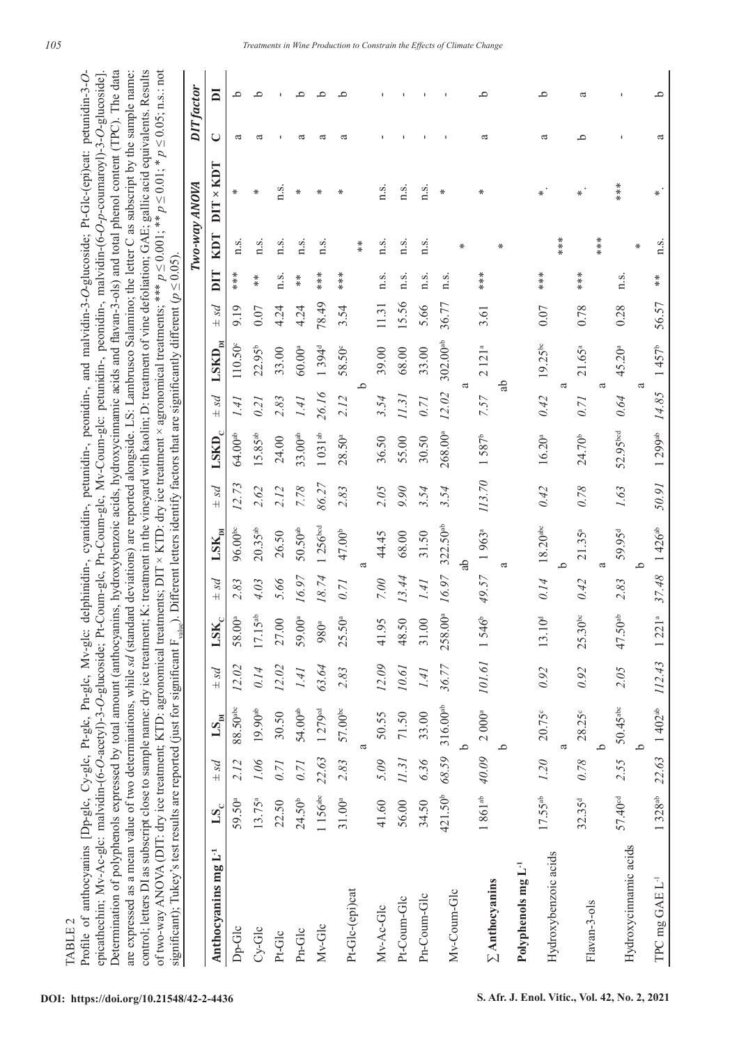epicathechin; Mv-Ac-glc: malvidin-(6-*O*-acetyl)-3-*O*-glucoside; Pt-Coum-glc, Pn-Coum-glc, Mv-Coum-glc: petunidin-, peonidin-, malvidin-(6-*O*-*p*-coumaroyl)-3-*O*-glucoside]. Determination of polyphenols expressed by total amount (anthocyanins, hydroxybenzoic acids, hydroxycinnamic acids and flavan-3-ols) and total phenol content (TPC). The data are expressed as a mean value of two determinations, while *sd* (standard deviations) are reported alongside. LS: Lambrusco Salamino; the letter C as subscript by the sample name: control; letters DI as subscript close to sample name: dry ice treatment; K: treatment in the vineyard with kaolin; D: treatment of vine defoliation; GAE; gallic acid equivalents. Results of two-way ANOVA (DIT: dry ice treatment; KTD: agronomical treatments; DIT × KTD: dry ice treatment × agronomical treatments; \*\*\* *p* ≤ 0.001; \*\* *p* ≤ 0.01; \* *p* ≤ 0.05; n.s.: not Determination of polyphenols expressed by total amount (anthocyanins, hydroxybenzoic acids, hydroxycinnamic acids and flavan-3-ols) and total phenol content (TPC). The data are expressed as a mean value of two determinations, while sal (standard deviations) are reported alongside. LS: Lambrusco Salamino; the letter C as subscript by the sample name: control; letters DI as subscript close to sample name: dry ice treatment; K: treatment in the vineyard with kaolin; D: treatment of vine defoliation; GAE; gallic acid equivalents. Results of two-way ANOVA (DIT: dry ice treatment; KTD: agronomical treatments; DIT × KTD: dry ice treatment × agronomical treatments; \*\*\*  $p \le 0.001$ ; \*\*  $p \le 0.01$ ; \*  $p \le 0.05$ ; n.s.: not Profile of anthocyanins [Dp-glc, Cy-glc, Pt-glc, Pn-glc, Mv-glc: delphinidin-, cyanidin-, petunidin-, and malvidin-3-O-glucoside; Pt-Glc-(epi)cat: petunidin-3-Oepicathechin; Mv-Ac-glc: malvidin-(6-O-acetyl)-3-O-glucoside; Pt-Coum-glc, Pn-Coum-glc, Mv-Coum-glc: petunidin-, peonidin-, malvidin-(6-O-p-coumaroyl)-3-O-glucoside]. Profile of anthocyanins [Dp-glc, Cy-glc, Pt-glc, Pn-glc, Mv-glc: delphinidin-, cyanidin-, petunidin-, peonidin-, and malvidin-3-*O*-glucoside; Pt-Glc-(epi)cat: petunidin-3-*O*significant): Tukey's test results are reported (just for significant F ). Different letters identify factors that are significantly different  $(p < 0.05)$ . significant); Tukey's test results are reported (just for significant F<sub>value</sub>). Different letters identify factors that are significantly different (*p* ≤ 0.05).

|                                 |                     |       |                                                                           |                          |                          |       |                            |          |                     |       |                           |       |                      |      | Two-way ANOVA    |        | <b>DIT</b> factor |
|---------------------------------|---------------------|-------|---------------------------------------------------------------------------|--------------------------|--------------------------|-------|----------------------------|----------|---------------------|-------|---------------------------|-------|----------------------|------|------------------|--------|-------------------|
| Anthocyanins mg L <sup>-1</sup> | $\mathbf{LS}_{c}$   | ps4   | LS <sub>m</sub>                                                           | ps4                      | $\mathbf{LSK}_c$         | psq   | $\mathbf{LSK}_{\text{hi}}$ | ps4      | $LSKD_c$            | ps4   | $\text{LSKD}_{\text{DI}}$ | ps4   | DIT                  | KDT  | $DIT \times KDT$ | $\cup$ | DI                |
| Dp-Glc                          | 59.50ª              | 2.12  | $88.50$ <sup>abc</sup>                                                    | 12.02                    | 58.00ª                   | 2.83  | 96.00 <sup>bc</sup>        | 12.73    | $64.00^{ab}$        | l Fi  | $110.50^{\circ}$          | 9.19  | ****                 | n.s. | ⋇                | a      | ٩                 |
| $Cy-Glc$                        | $13.75^{a}$         |       | $1.06$ 19.90 <sup>ab</sup>                                                | 0.14                     | 5 <sup>ab</sup><br>17.1  | 4.03  | $20.35^{ab}$               | 2.62     | $15.85^{ab}$        | 0.21  | $22.95^b$                 | 0.07  | $\stackrel{*}{\ast}$ | n.s. | ⋇                | a      | ٩                 |
| Pt-Glc                          | 22.50               | 0.71  | 30.50                                                                     | 12.02                    | 27.00                    | 5.66  | 26.50                      | 2.12     | 24.00               | 2.83  | 33.00                     | 4.24  | n.s.                 | n.s. | n.s.             |        |                   |
| Pn-Glc                          | 24.50 <sup>b</sup>  | 0.71  | $54.00^{ab}$                                                              | 1.41                     | 59.00 <sup>a</sup>       | 16.97 | $50.50^{ab}$               | 7.78     | 33.00 <sup>ab</sup> | 141   | $60.00^{a}$               | 4.24  | $*$                  | n.s. | ⋇                | ದ      | ٩                 |
| Mv-Glc                          | 1156a               | 22.63 | 1279 <sup>cd</sup>                                                        | 63.64                    | 980ª                     | 18.74 | 1256 <sup>bed</sup>        | 86.27    | $1031^{ab}$         | 26.16 | 1394 <sup>d</sup>         | 78.49 | ***                  | n.s. | ∗                | ದ      | ≏                 |
| Pt-Glc-(epi)cat                 | 31.00 <sup>a</sup>  | 2.83  | $57.00^{bc}$                                                              | 2.83                     | 25.50a                   | 0.71  | 47.00 <sup>b</sup>         | 2.83     | 28.50 <sup>a</sup>  | 2.12  | 58.50°                    | 3.54  | $***$                |      | ⋇                | ದ      | $\circ$           |
|                                 |                     |       | a                                                                         |                          |                          |       | ß                          |          |                     | م     |                           |       |                      | $*$  |                  |        |                   |
| Mv-Ac-Glc                       | 41.60               | 5.09  | 50.55                                                                     | 12.09                    | 41.95                    | 7.00  | 44.45                      | 2.05     | 36.50               | 3.54  | 39.00                     | 11.31 | n.s.                 | n.s. | n.s.             |        |                   |
| Pt-Coum-Glc                     | 56.00               |       | 11.31 71.50                                                               | $10.6\mathcal{I}$        | 48.50                    | 13.44 | 68.00                      | $0.90\,$ | 55.00               | 11.31 | 68.00                     | 15.56 | n.s.                 | n.s. | n.s.             |        |                   |
| Pn-Coum-Glc                     | 34.50               | 6.36  | 33.00                                                                     | 1.41                     | 31.00                    | 141   | 31.50                      | 3.54     | 30.50               | 0.71  | 33.00                     | 5.66  | n.s.                 | n.s. | n.s.             |        |                   |
| Mv-Coum-Glc                     | 421.50 <sup>b</sup> |       | 68.59 316.00 <sup>ab</sup>                                                | 36.77                    | 258.00ª                  | 16.97 | $322.50$ <sup>ab</sup>     | 3.54     | 268.00ª             | 12.02 | $302.00^{ab}$             | 36.77 | n.s.                 |      | ⋇                |        |                   |
|                                 |                     |       | م                                                                         |                          |                          |       | Ъ                          |          |                     |       | a                         |       |                      | ₩    |                  |        |                   |
| $\Sigma$ Anthocyanins           | $1861^{ab}$         |       | $40.09$ 2 000 <sup>a</sup>                                                | 101.61 1546 <sup>b</sup> |                          | 49.57 | 1963 <sup>a</sup>          | 113.70   | $1.587^b$           | 7.57  | 2121 <sup>a</sup>         | 3.61  | ****                 |      | ⋇                | a      | ٩                 |
|                                 |                     |       | ٩                                                                         |                          |                          |       | a                          |          |                     |       | ಕ್ಲಿ                      |       |                      | ∗    |                  |        |                   |
| Polyphenols mg L <sup>-1</sup>  |                     |       |                                                                           |                          |                          |       |                            |          |                     |       |                           |       |                      |      |                  |        |                   |
| Hydroxybenzoic acids            |                     |       | $17.55^{ab}$ $1.20$ $20.75^{\circ}$                                       | 0.92                     | $\sum_{i=1}^{d}$<br>13.1 | 0.14  | $18.20^{\rm abc}$          | 0.42     | 16.20 <sup>a</sup>  | 0.42  | $19.25^{bc}$              | 0.07  |                      |      | ₩                | a      | q                 |
|                                 |                     |       | a                                                                         |                          |                          |       | م                          |          |                     |       | ß                         |       |                      | ***  |                  |        |                   |
| Flavan-3-ols                    | $32.35^{d}$         | 0.78  | $28.25^\circ$                                                             | 0.92                     | $25.30^{bc}$             | 0.42  | $21.35^{a}$                | 0.78     | 24.70 <sup>b</sup>  | 0.71  | $21.65^{a}$               | 0.78  | ****                 |      | ∗                | م      | ದ                 |
|                                 |                     |       | <u>م</u>                                                                  |                          |                          |       | ß                          |          |                     |       | ß                         |       |                      | ***  |                  |        |                   |
| Hydroxycinnamic acids           | 57.40 <sup>cd</sup> |       | $2.55$ 50.45 <sup>abc</sup>                                               | 2.05                     | 47.50 <sup>ab</sup>      | 2.83  | 59.95 <sup>d</sup>         | 1.63     | 52.95bcd            | 0.64  | $45.20^{a}$               | 0.28  | n.s.                 |      | ***              |        |                   |
|                                 |                     |       | م.                                                                        |                          |                          |       | م                          |          |                     | a     |                           |       |                      | ⋇    |                  |        |                   |
| TPC mg GAE L <sup>-1</sup>      |                     |       | 1 328 <sup>ab</sup> 22.63 1 402 <sup>ab</sup> $112.43$ 1 221 <sup>a</sup> |                          |                          | 37.48 | $1426^{ab}$                | 50.91    | 1299a               | 14.85 | $1457^b$                  | 56.57 | $*$                  | n.s. | ₩                | ದ      | م                 |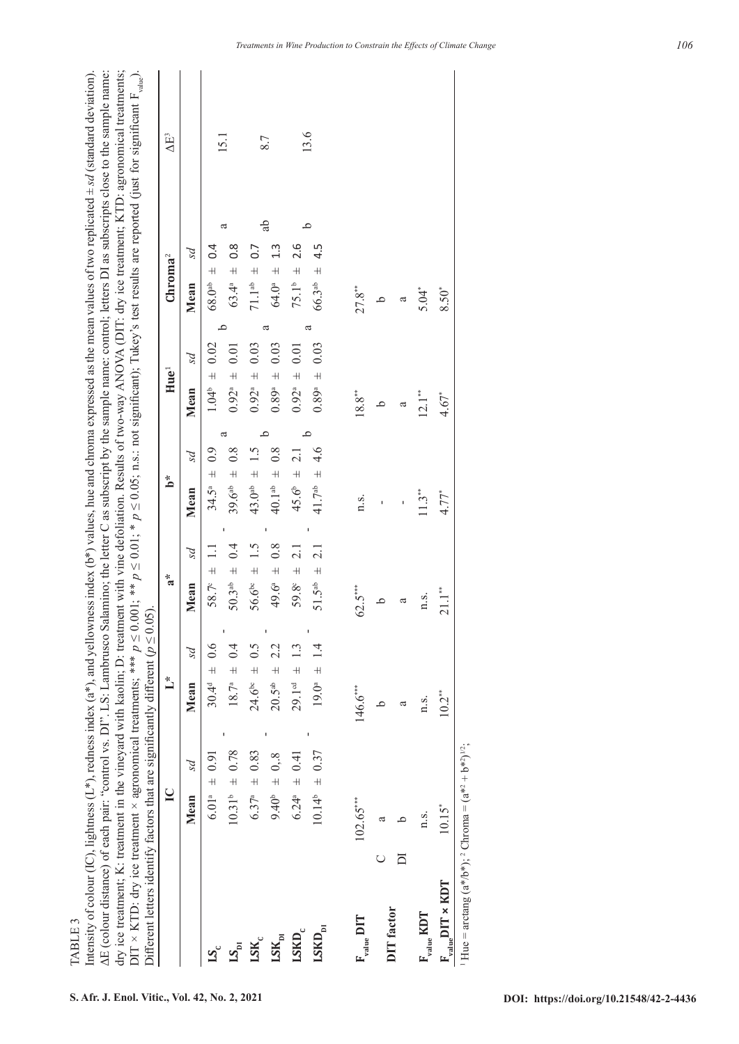**TABLE 3** TABLE 3

Intensity of colour (IC), lightness (L\*), redness index (a\*), and yellowness index (b\*) values, hue and chroma expressed as the mean values of two replicated ± *sd* (standard deviation). ΔE (colour distance) of each pair: "control vs. DI". LS: Lambrusco Salamino; the letter C as subscript by the sample name: control; letters DI as subscripts close to the sample name: dry ice treatment; K: treatment in the vineyard with kaolin; D: treatment with vine defoliation. Results of two-way ANOVA (DIT: dry ice treatment; KTD: agronomical treatments; DIT  $\times$  KTD: dry ice treatment  $\times$  agronomical treatments; \*\*\*  $p \le 0.01$ ; \*  $p \le 0.05$ ; n.s.: not significant); Tukey's test results are reported (just for significant F<sub>alue</sub>). intensity of colour (IC), lightness (L\*), redness index (a\*), and yellowness index (b\*) values, hue and chroma expressed as the mean values of two replicated  $\pm$  sd (standard deviation). AE (colour distance) of each pair: "control vs. DI". LS: Lambrusco Salamino; the letter C as subscript by the sample name: control; letters DI as subscripts close to the sample name: dry ice treatment; K: treatment in the vineyard with kaolin; D: treatment with vine defoliation. Results of two-way ANOVA (DIT: dry ice treatment; KTD: agronomical treatments; DIT × KTD: dry ice treatment × agronomical treatments; \*\*\*  $p \le 0.001$ ; \*\*  $p \le 0.01$ ; \*  $p \le 0.05$ ; n.s.: not significant); Tukey's test results are reported (just for significant F<sub>value</sub>). Different letters identify factors that are significantly different ( $p \le 0.05$ ). Different letters identify factors that are significantly different  $(p \leq 0.05)$ .

|                                       |                                                            | $\ddot{\phantom{0}}$             | $a^*$                                 | *م                             | Hue <sup>1</sup>              | Chroma <sup>2</sup>                     | $\Delta E^3$ |
|---------------------------------------|------------------------------------------------------------|----------------------------------|---------------------------------------|--------------------------------|-------------------------------|-----------------------------------------|--------------|
|                                       | ps<br>Mean                                                 | ρS<br>Mean                       | ps<br>Mean                            | ps<br>Mean                     | ps<br>Mean                    | ps<br>Mean                              |              |
|                                       | $6.01^a \pm 0.91$                                          | $30.4^{d} = 0.6$                 | $58.7^{\circ} \pm 1.1$                | $34.5^a \pm 0.9$               | $1.04^{\circ} = 0.02$         | $68.0^{ab} = 0.4$                       | 15.1         |
| $LS_{\rm pl}$                         | $10.31^{\circ} \pm 0.78$                                   | $18.7^a = 0.4$                   | $50.3^{ab} = 0.4$                     | ದ<br>$39.6^{ab} = 0.8$         | $0.92^a = 0.01$               | ದ<br>$0.\overline{8}$<br>$63.4^a \pm 0$ |              |
| $\mathbf{LSK}_c$                      | $6.37^a$ $\pm$ 0.83                                        | $24.6^{\circ} = 0.5$             | $56.6^{bc} \pm 1.5$                   | 1.5<br>$43.0ab$ $\pm$          | $0.92^{\circ} = 0.03$         | $71.1^{ab} = 0.7$                       |              |
| $\mathbf{LSK}_{\mathbf{p}\mathbf{l}}$ | $9.40^{\circ} = 0.8$                                       | 22<br>$20.5$ <sup>ab</sup> $\pm$ | $49.6^{\circ} \pm 0.8$                | م<br>0.8<br>$40.1ab$ $\pm$     | ದ<br>0.03<br>$0.89^{\circ}$ + | ್ದ<br>1.3<br>$64.0^a$ $\pm$             | 8.7          |
| $\textbf{LSKD}_\text{c}$              | $6.24^a = 0.41$                                            | $29.1cd \pm 1.3$                 | $\overline{2.1}$<br>$59.8^{\circ}$ ±  | 2.1<br>45.6 <sup>b</sup> $\pm$ | $0.92^a$ $\pm$ 0.01           | $75.1^b = 2.6$                          | 13.6         |
| $\text{LSKD}_{\text{pi}}$             | $10.14^{\circ} = 0.37$                                     | $19.0^{\circ} \pm 1.4$           | $\overline{2.1}$<br>$51.5^{ab}$ $\pm$ | م<br>4.6<br>$41.7ab$ $\pm$     | a<br>0.03<br>$0.89^a$ ±       | 4.5<br>$66.3$ <sup>ab</sup> $\pm$       |              |
| $F_{value}$ DIT                       | $102.65***$                                                | $146.6***$                       | $62.5***$                             | n.s.                           | $18.8^{\ast\ast}$             | $27.8***$                               |              |
|                                       |                                                            |                                  |                                       |                                | <u>م</u>                      | $\alpha$                                |              |
| <b>DIT</b> factor                     |                                                            | ದ                                | ದ                                     | ï                              | a                             | a                                       |              |
| $F_{value}$ KDT                       | n.s.                                                       | n.s.                             | n.s.                                  | $11.3**$                       | $12.1***$                     | 5.04*                                   |              |
| $F_{value}$ DIT × KDT                 | $10.15*$                                                   | $10.2***$                        | $21.1***$                             | $4.77*$                        | $4.67*$                       | 8.50*                                   |              |
|                                       | $Hue = arctan g (a*/b*),$ Chroma = $(a*^2 + b*^2)^{1/2}$ ; |                                  |                                       |                                |                               |                                         |              |

*Treatments in Wine Production to Constrain the Effects of Climate Change*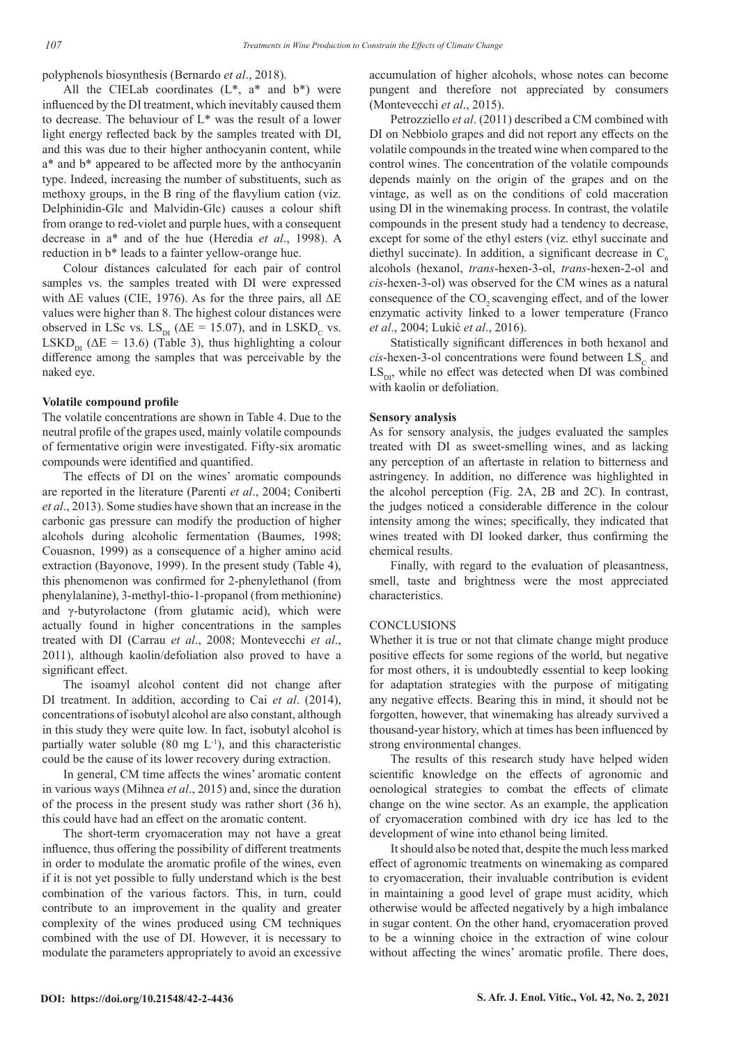polyphenols biosynthesis (Bernardo *et al*., 2018).

All the CIELab coordinates  $(L^*, a^*$  and  $b^*)$  were influenced by the DI treatment, which inevitably caused them to decrease. The behaviour of L\* was the result of a lower light energy reflected back by the samples treated with DI, and this was due to their higher anthocyanin content, while a\* and b\* appeared to be affected more by the anthocyanin type. Indeed, increasing the number of substituents, such as methoxy groups, in the B ring of the flavylium cation (viz. Delphinidin-Glc and Malvidin-Glc) causes a colour shift from orange to red-violet and purple hues, with a consequent decrease in a\* and of the hue (Heredia *et al*., 1998). A reduction in b\* leads to a fainter yellow-orange hue.

Colour distances calculated for each pair of control samples vs. the samples treated with DI were expressed with  $\Delta E$  values (CIE, 1976). As for the three pairs, all  $\Delta E$ values were higher than 8. The highest colour distances were observed in LSc vs.  $LS_{DI}$  ( $\Delta E = 15.07$ ), and in LSKD<sub>C</sub> vs. LSKD<sub>DI</sub> ( $\Delta E = 13.6$ ) (Table 3), thus highlighting a colour difference among the samples that was perceivable by the naked eye.

#### **Volatile compound profile**

The volatile concentrations are shown in Table 4. Due to the neutral profile of the grapes used, mainly volatile compounds of fermentative origin were investigated. Fifty-six aromatic compounds were identified and quantified.

The effects of DI on the wines' aromatic compounds are reported in the literature (Parenti *et al*., 2004; Coniberti *et al*., 2013). Some studies have shown that an increase in the carbonic gas pressure can modify the production of higher alcohols during alcoholic fermentation (Baumes, 1998; Couasnon, 1999) as a consequence of a higher amino acid extraction (Bayonove, 1999). In the present study (Table 4), this phenomenon was confirmed for 2-phenylethanol (from phenylalanine), 3-methyl-thio-1-propanol (from methionine) and  $\gamma$ -butyrolactone (from glutamic acid), which were actually found in higher concentrations in the samples treated with DI (Carrau *et al*., 2008; Montevecchi *et al*., 2011), although kaolin/defoliation also proved to have a significant effect.

The isoamyl alcohol content did not change after DI treatment. In addition, according to Cai *et al*. (2014), concentrations of isobutyl alcohol are also constant, although in this study they were quite low. In fact, isobutyl alcohol is partially water soluble  $(80 \text{ mg } L^{-1})$ , and this characteristic could be the cause of its lower recovery during extraction.

In general, CM time affects the wines' aromatic content in various ways (Mihnea *et al*., 2015) and, since the duration of the process in the present study was rather short (36 h), this could have had an effect on the aromatic content.

The short-term cryomaceration may not have a great influence, thus offering the possibility of different treatments in order to modulate the aromatic profile of the wines, even if it is not yet possible to fully understand which is the best combination of the various factors. This, in turn, could contribute to an improvement in the quality and greater complexity of the wines produced using CM techniques combined with the use of DI. However, it is necessary to modulate the parameters appropriately to avoid an excessive accumulation of higher alcohols, whose notes can become pungent and therefore not appreciated by consumers (Montevecchi *et al*., 2015).

Petrozziello *et al*. (2011) described a CM combined with DI on Nebbiolo grapes and did not report any effects on the volatile compounds in the treated wine when compared to the control wines. The concentration of the volatile compounds depends mainly on the origin of the grapes and on the vintage, as well as on the conditions of cold maceration using DI in the winemaking process. In contrast, the volatile compounds in the present study had a tendency to decrease, except for some of the ethyl esters (viz. ethyl succinate and diethyl succinate). In addition, a significant decrease in  $C_{\epsilon}$ alcohols (hexanol, *trans*-hexen-3-ol, *trans*-hexen-2-ol and *cis*-hexen-3-ol) was observed for the CM wines as a natural consequence of the CO<sub>2</sub> scavenging effect, and of the lower enzymatic activity linked to a lower temperature (Franco *et al*., 2004; Lukić *et al*., 2016).

Statistically significant differences in both hexanol and  $cis$ -hexen-3-ol concentrations were found between  $LS<sub>c</sub>$  and  $LS<sub>DI</sub>$ , while no effect was detected when DI was combined with kaolin or defoliation.

#### **Sensory analysis**

As for sensory analysis, the judges evaluated the samples treated with DI as sweet-smelling wines, and as lacking any perception of an aftertaste in relation to bitterness and astringency. In addition, no difference was highlighted in the alcohol perception (Fig. 2A, 2B and 2C). In contrast, the judges noticed a considerable difference in the colour intensity among the wines; specifically, they indicated that wines treated with DI looked darker, thus confirming the chemical results.

Finally, with regard to the evaluation of pleasantness, smell, taste and brightness were the most appreciated characteristics.

## **CONCLUSIONS**

Whether it is true or not that climate change might produce positive effects for some regions of the world, but negative for most others, it is undoubtedly essential to keep looking for adaptation strategies with the purpose of mitigating any negative effects. Bearing this in mind, it should not be forgotten, however, that winemaking has already survived a thousand-year history, which at times has been influenced by strong environmental changes.

The results of this research study have helped widen scientific knowledge on the effects of agronomic and oenological strategies to combat the effects of climate change on the wine sector. As an example, the application of cryomaceration combined with dry ice has led to the development of wine into ethanol being limited.

It should also be noted that, despite the much less marked effect of agronomic treatments on winemaking as compared to cryomaceration, their invaluable contribution is evident in maintaining a good level of grape must acidity, which otherwise would be affected negatively by a high imbalance in sugar content. On the other hand, cryomaceration proved to be a winning choice in the extraction of wine colour without affecting the wines' aromatic profile. There does,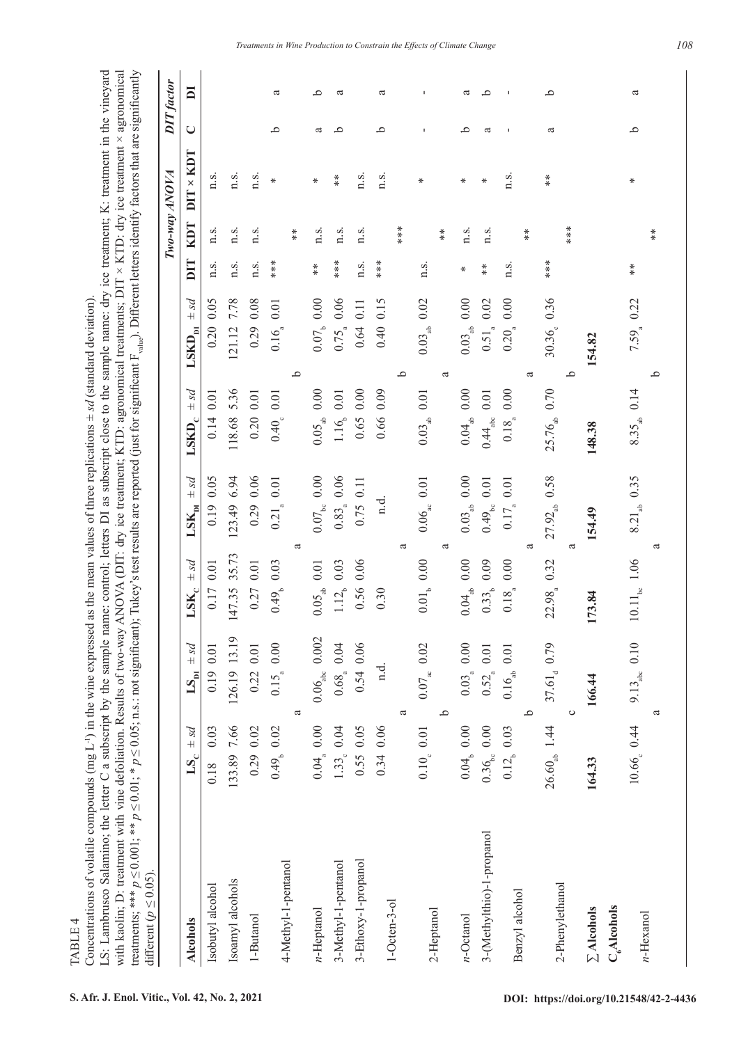**TABLE 4** TABLE 4

Concentrations of volatile compounds (mg L<sup>-1</sup>) in the wine expressed as the mean values of three replications  $\pm$  *sd* (standard deviation). Concentrations of volatile compounds (mg L<sup>-1</sup>) in the wine expressed as the mean values of three replications  $\pm$  sd (standard deviation).

LS: Lambrusco Salamino; the letter C a subscript by the sample name: control; letters DI as subscript close to the sample name: dry ice treatment; K: treatment in the vineyard LS: Lambrusco Salamino; the letter C a subscript by the sample name: control; letters DI as subscript close to the sample name: dry ice treatment; K: treatment in the vineyard with kaolin; D: treatment with vine defoliation. Results of two-way ANOVA (DIT: dry ice treatment; KTD: agronomical treatments; DIT × KTD: dry ice treatment × agronomical treatments; \*\*\* *p* ≤ 0.001; \*\* *p* ≤ 0.01; \* *p* ≤ 0.05; n.s.: not significant); Tukey's test results are reported (just for significant F<sub>3ulue</sub>). Different letters identify factors that are significantly with kaolin; D: treatment with vine defoliation. Results of two-way ANOVA (DIT: dry ice treatment; KTD: agronomical treatments; DIT × KTD: dry ice treatment × agronomical treatments; \*\*\*  $p \le 0.001$ ; \*\*  $p \le 0.01$ ; \*  $p \le 0.05$ ; n.s.: not significant); Tukey's test results are reported (just for significant F<sub>value</sub>). Different letters identify factors that are significantly different  $(p < 0.05)$ . different  $(p \le 0.05)$ .

|                                         |                          |                                |                                        |                            |                               |                                  |      | Two-way ANOVA |                      | <b>DIT</b> factor |                         |
|-----------------------------------------|--------------------------|--------------------------------|----------------------------------------|----------------------------|-------------------------------|----------------------------------|------|---------------|----------------------|-------------------|-------------------------|
| <b>Alcohols</b>                         | $LS_c = sd$              | $LS_{\text{DI}}$ $\pm sd$      | $LSK_c = sd$                           | $LSK_{\text{Di}}$ $\pm sd$ | ps4<br>$\text{LSKD}_\text{c}$ | ps4<br>$\text{LSKD}_{\text{pi}}$ | DIT  | <b>KDT</b>    | $DIT \times KDT$     | $\cup$            | $\overline{\mathbf{a}}$ |
| Isobutyl alcohol                        | $0.18$ 0.03              | $0.19$ 0.01                    | 0.17 0.01                              | $0.19$ 0.05                | 0.14 0.01                     | $0.20\ 0.05$                     | n.s. | n.s.          | n.s.                 |                   |                         |
| Isoamyl alcohols                        | 133.89 7.66              | 126.19 13.19                   | 35.73<br>147.35                        | 123.49 6.94                | 118.68 5.36                   | 7.78<br>121.12                   | n.s. | n.s.          | n.s.                 |                   |                         |
| 1-Butanol                               | $0.29$ $0.02$            | 0.22 0.01                      | 0.27 0.01                              | 0.290.06                   | $0.20$ 0.01                   | 0.290.08                         | n.s. | n.s.          | n.s.                 |                   |                         |
| 4-Methyl-1-pentanol                     | $0.49b$ 0.02             | 0.15 <sub>a</sub> 0.00         | 0.03<br>0.49 <sub>b</sub>              | $0.21_{\tiny a}$ 0.01      | 0.40, 0.01                    | $0.16_{_8}$ 0.01                 | **** |               | ⋇                    | ٩                 | a                       |
|                                         |                          | ß                              |                                        | ದ                          |                               | $\mathbf{a}$                     |      | $*$           |                      |                   |                         |
| $n-Heptanol$                            | $0.04_{\circ}$ 0.00      | $0.06_{\rm{abc}}$ 0.002        | $0.01\,$<br>$0.05_{ab}$                | $0.07_{\rm{bc}}$ $0.00$    | $0.05_{ab}$ 0.00              | $0.07b$ 0.00                     | $*$  | n.s.          | ₩                    | ದ                 | م                       |
| 3-Methyl-1-pentanol                     | 1.33, 0.04               | 0.68 <sub>a</sub> 0.04         | 0.03<br>$1.12_{b}$                     | $0.83_{\circ}$ 0.06        | 1.16, 0.01                    | $0.75_{\circ} 0.06$              | **** | n.s.          | $*$                  | م                 | ದ                       |
| 3-Ethoxy-1-propanol                     | $0.55$ 0.05              | $0.54$ 0.06                    | $0.06\,$<br>0.56                       | 0.75 0.11                  | $0.65$ 0.00                   | 0.11<br>0.64                     | n.s. | n.s.          | n.s.                 |                   |                         |
| $1-Octen-3-ol$                          | 0.34 0.06                | n.d.                           | 0.30                                   | n.d.                       | 0.66 0.09                     | 0.15<br>0.40                     | ***  |               | n.s.                 | م                 | a                       |
|                                         |                          | a                              |                                        | ದ                          |                               | ٩                                |      | ***           |                      |                   |                         |
| 2-Heptanol                              | $0.10_{c}$ 0.01          | $0.07_{\text{ac}}$ 0.02        | $0.01_{b}$ 0.00                        | $0.06_{\text{ac}}$ 0.01    | $0.03_{ab}$ 0.01              | 0.02<br>$0.03_{ab}$              | n.s. |               | ⋇                    |                   |                         |
|                                         |                          | م                              |                                        | a                          |                               | ß                                |      | $*$           |                      |                   |                         |
| $n$ -Octanol                            | 0.04, 0.00               | $0.03_{\circ} 0.00$            | $0.04_{ab}$ 0.00                       | $0.03_{ab}$ 0.00           | $0.04_{\text{ab}}$ 0.00       | $0.03_{ab}$ 0.00                 | ⋇    | n.s.          | ⋇                    | ٩                 | a                       |
| 3-(Methylthio)-1-propanol               | $0.36_{\rm{bc}}$ 0.00    | $0.52_{\tiny a}$ 0.01          | 0.09<br>$0.33_{\tiny b}$               | $0.49_{\rm bc}$ 0.01       | $0.44_{abc}$ 0.01             | $0.51_{\circ} 0.02$              | $*$  | n.s.          | ⋇                    | ದ                 | م                       |
| Benzyl alcohol                          | $0.12$ <sub>b</sub> 0.03 | 0.01<br>$0.16_{ab}$<br>$\circ$ | $0.00$<br>$0.18\phantom{0}$ $^{\circ}$ | $0.17_{_a} 0.01$<br>ß      | $0.00\,$<br>$0.18^{10}$       | $0.20_{\circ} 0.00$<br>ದ         | n.s. | $*$           | n.s.                 |                   |                         |
| 2-Phenylethanol                         | $26.60_{ab}$ 1.44        | $37.61_{d}$ 0.79               | 0.32<br>22.98                          | 27.92 <sub>ab</sub> 0.58   | 25.76 <sub>ab</sub> 0.70      | 30.36 0.36                       | ***  |               | $\stackrel{*}{\ast}$ | a                 | ٩                       |
| $\Sigma$ Alcohols                       | 164.33                   | 166.44<br>$\circ$              | 173.84                                 | 154.49<br>ದ                | 148.38                        | 154.82<br>م                      |      | ***           |                      |                   |                         |
| C <sub>6</sub> Alcohols<br>$n$ -Hexanol | 10.66, 0.44              | $9.13_{\text{abc}}$ 0.10<br>a  | $10.11_{bc}$ 1.06                      | $8.21_{ab}$ 0.35<br>a      | $8.35_{ab}$ 0.14              | $7.59\ _{a}$ 0.22<br>م           | $*$  | $*$           | ₩                    | ٩                 | a                       |
|                                         |                          |                                |                                        |                            |                               |                                  |      |               |                      |                   |                         |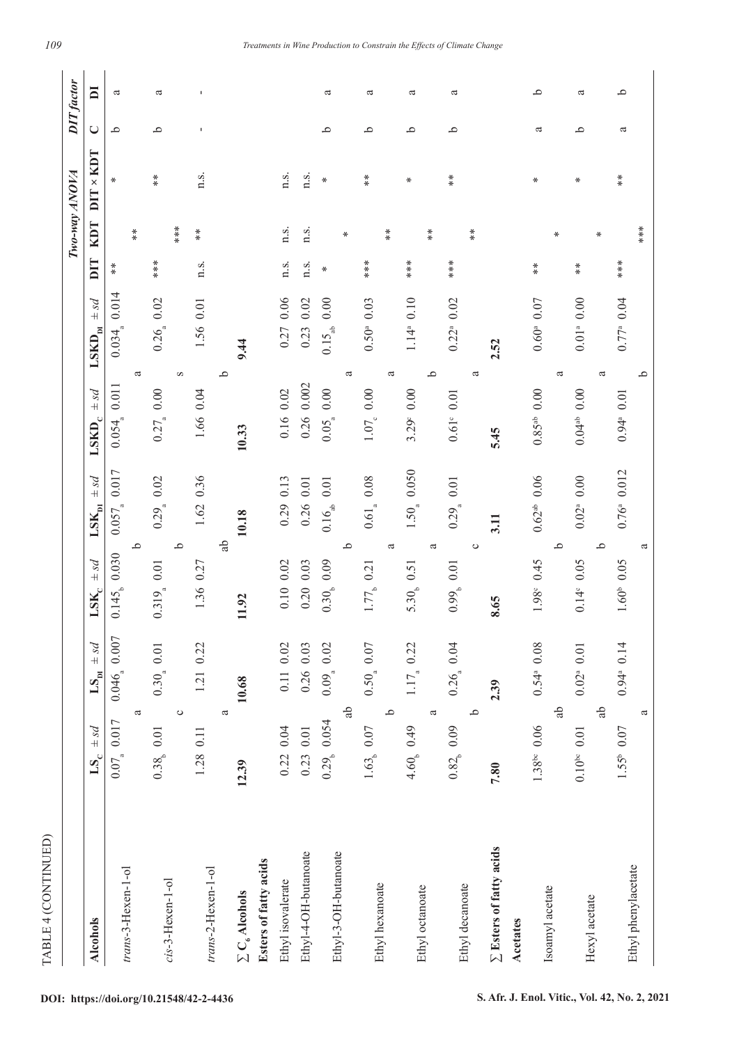| TABLE 4 (CONTINUED)              |                                       |                                                                                 |                                               |                                   |                               |                             |       |               |                      |                   |                         |
|----------------------------------|---------------------------------------|---------------------------------------------------------------------------------|-----------------------------------------------|-----------------------------------|-------------------------------|-----------------------------|-------|---------------|----------------------|-------------------|-------------------------|
|                                  |                                       |                                                                                 |                                               |                                   |                               |                             |       | Two-way ANOVA |                      | <b>DIT</b> factor |                         |
| <b>Alcohols</b>                  | ps4<br>LS <sub>c</sub>                | $ps$ +<br>$\mathbf{L}\mathbf{S}_{\underline{\mathbf{p}}\underline{\mathbf{q}}}$ | ps4<br>$\mathbf{LSK}_c$                       | ps4<br>$\mathbf{LSK}_{\text{DI}}$ | ps4<br>$\text{LSKD}_\text{c}$ | psq<br>$\mathbf{LSKD_{p1}}$ | DIT   | KDT           | $DIT \times KDT$     | $\bigcup$         | $\overline{\mathbf{a}}$ |
|                                  | $0.07_{\circ} 0.017$                  | $0.046_{\circ}$ 0.007                                                           | $0.145b$ 0.030                                | $0.057_{\tiny a}$ 0.017           | $0.054$ <sub>4</sub> 0.011    | 0.014<br>0.034              | $* *$ |               | $\ast$               | م                 | a                       |
| trans-3-Hexen-1-ol               | a                                     |                                                                                 | ٩                                             |                                   |                               | a                           |       | $*$           |                      |                   |                         |
| cis-3-Hexen-1-ol                 | $0.38b$ 0.01                          | $0.30_{_a}$ 0.01                                                                | 0.01<br>$0.319_{\rm a}$                       | $0.29a$ 0.02                      | $0.27_{\circ} 0.00$           | 0.26, 0.02                  | ****  |               | $*$                  | م                 | a                       |
|                                  | $\circ$                               |                                                                                 | م                                             |                                   |                               | $\boldsymbol{\Omega}$       |       | $***$         |                      |                   |                         |
| trans-2-Hexen-1-ol               | 1.28 0.11                             | 1.21 0.22                                                                       | 1.36 0.27                                     | 0.36<br>1.62                      | 1.66 0.04                     | 1.56 0.01                   | n.s.  | $*$           | n.s.                 | J.                | J.                      |
|                                  | a                                     |                                                                                 | <u>ද</u> ු                                    |                                   |                               | $\mathbf{\Omega}$           |       |               |                      |                   |                         |
| $\Sigma$ C <sub>6</sub> Alcohols | 12.39                                 | 10.68                                                                           | 11.92                                         | 10.18                             | 10.33                         | 9.44                        |       |               |                      |                   |                         |
| Esters of fatty acids            |                                       |                                                                                 |                                               |                                   |                               |                             |       |               |                      |                   |                         |
| Ethyl isovalerate                | 0.22 0.04                             | $0.11$ $0.02$                                                                   | $0.10\ 0.02$                                  | $0.29$ 0.13                       | 0.16 0.02                     | 0.06<br>0.27                | n.s.  | n.s.          | n.s.                 |                   |                         |
| Ethyl-4-OH-butanoate             | 0.23 0.01                             | 0.26 0.03                                                                       | $0.20\ 0.03$                                  | 0.26 0.01                         | 0.26 0.002                    | 0.02<br>0.23                | n.s.  | n.s.          | n.s.                 |                   |                         |
| Ethyl-3-OH-butanoate             | $0.29b$ 0.054                         | $0.09a$ 0.02                                                                    | 0.09<br>0.30 <sub>b</sub>                     | $0.01\,$<br>$0.16_{ab}$           | $0.05_{\circ}$ 0.00           | $0.00$<br>$0.15_{ab}$       | ₩     |               | ₩                    | م                 | a                       |
|                                  | Ъ                                     |                                                                                 | م                                             |                                   |                               | a                           |       | ₩             |                      |                   |                         |
| Ethyl hexanoate                  | $1.63_{\scriptscriptstyle{b}}$ $0.07$ | $0.50\quad 0.07$                                                                | 0.21<br>1.77 <sub>b</sub>                     | $0.61_{\tiny a}$ 0.08             | $1.07_{\circ} 0.00$           | 0.03<br>0.50 <sup>a</sup>   | ****  |               | $\stackrel{*}{\ast}$ | ٩                 | a                       |
|                                  | م                                     |                                                                                 | ß                                             |                                   |                               | a                           |       | $*$           |                      |                   |                         |
| Ethyl octanoate                  | 4.60, 0.49                            | $1.17_{\circ} 0.22$                                                             | 5.30 <sub>b</sub> 0.51                        | $1.50a$ 0.050                     | $3.29^{\circ}$ 0.00           | $1.14^{\circ}$ 0.10         | ***   |               | ⋇                    | ٩                 | a                       |
|                                  | ß                                     |                                                                                 | ß                                             |                                   |                               | م                           |       | $*$           |                      |                   |                         |
|                                  | 0.82 <sub>b</sub> 0.09                | $0.26\ 0.04$                                                                    | 0.01<br>$0.99_{\scriptscriptstyle{\text{b}}}$ | 0.29 <sub>a</sub> 0.01            | $0.61^{\circ}$ 0.01           | 0.02<br>$0.22^{a}$          | ****  |               | $*$                  | م                 | a                       |
| Ethyl decanoate                  | م                                     |                                                                                 | $\circ$                                       |                                   |                               | ß                           |       | $*$           |                      |                   |                         |
| $\Sigma$ Esters of fatty acids   | 7.80                                  | 2.39                                                                            | 8.65                                          | 3.11                              | 5.45                          | 2.52                        |       |               |                      |                   |                         |
| <b>Acetates</b>                  |                                       |                                                                                 |                                               |                                   |                               |                             |       |               |                      |                   |                         |
|                                  | $1.38^{be}$ 0.06                      | $0.54^{\circ}$ 0.08                                                             | 0.45<br>1.98 <sup>c</sup>                     | $0.62^{ab}$ 0.06                  | $0.85^{ab}$ 0.00              | $0.60^{\circ}$ 0.07         | $* *$ |               | ∗                    | a                 | م                       |
| Isoamyl acetate                  | ಕ್ಲಿ                                  |                                                                                 | م                                             |                                   |                               | a                           |       | ₩             |                      |                   |                         |
|                                  | $0.10^{be}$ 0.01                      | $0.02^a$ 0.01                                                                   | $0.14^{\circ}$ 0.05                           | $0.02^a$ 0.00                     | $0.04^{ab}$ 0.00              | $0.01a$ 0.00                | $*$   |               | ⋇                    | م                 | a                       |
| Hexyl acetate                    | Ъ                                     |                                                                                 | م                                             |                                   |                               | ß                           |       | $\ast$        |                      |                   |                         |
| Ethyl phenylacetate              | $1.55^{\circ}$ 0.07                   | $0.94$ <sup>a</sup> 0.14                                                        | $1.60^{\circ}$ 0.05                           | $0.76^{\circ}$ 0.012              | $0.94^{\circ}$ 0.01           | $0.77a$ 0.04                | ****  |               | $*$                  | a                 | م                       |
|                                  | a                                     |                                                                                 | ದ                                             |                                   |                               | ≏                           |       | ***           |                      |                   |                         |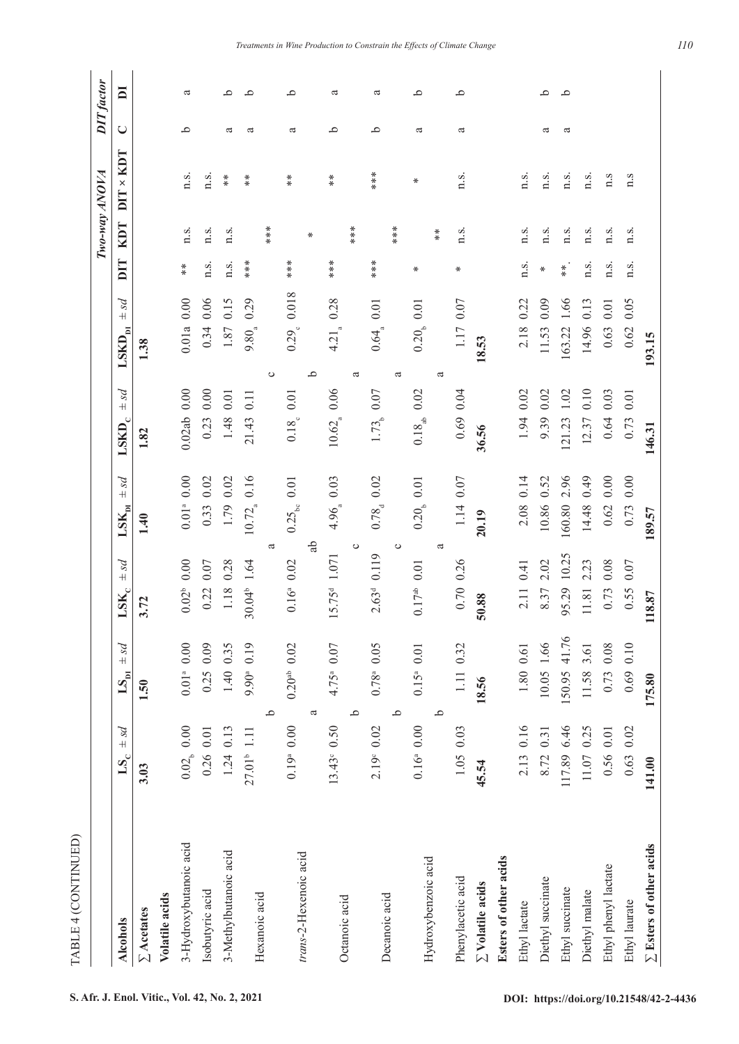| TABLE 4 (CONTINUED)            |                                          |                                              |                          |                                               |                               |                                  |        |                         |        |                         |
|--------------------------------|------------------------------------------|----------------------------------------------|--------------------------|-----------------------------------------------|-------------------------------|----------------------------------|--------|-------------------------|--------|-------------------------|
|                                |                                          |                                              |                          |                                               |                               |                                  |        | Two-way ANOVA           |        | DIT factor              |
| <b>Alcohols</b>                | ps4<br>$\mathbf{L}\mathbf{S}_\mathrm{c}$ | $ps +$<br>$\mathbf{L}\mathbf{S}_{\text{pi}}$ | ps4<br>$\mathbf{LSK}_c$  | ps4<br>$\mathbf{LSK}_{\mathbf{p} \mathbf{I}}$ | ps4<br>$\text{LSKD}_\text{c}$ | ps4<br>$\text{LSKD}_{\text{DI}}$ | DIT    | $DIT \times KDT$<br>KDT | $\cup$ | $\overline{\mathbf{a}}$ |
| $\Sigma$ Acetates              | 3.03                                     | 1.50                                         | 3.72                     | 1.40                                          | 1.82                          | 1.38                             |        |                         |        |                         |
| Volatile acids                 |                                          |                                              |                          |                                               |                               |                                  |        |                         |        |                         |
| 3-Hydroxybutanoic acid         | $0.02b$ 0.00                             | $0.01^{\mathrm{a}}$ 0.00                     | $0.02^b$ 0.00            | $0.01a$ 0.00                                  | $0.02ab$ 0.00                 | $0.01a$ 0.00                     | $*$    | n.s.<br>n.s.            | م      | a                       |
| Isobutyric acid                | $0.26$ 0.01                              | $0.25$ 0.09                                  | $0.07$<br>0.22           | 0.02<br>0.33                                  | $0.23$ 0.00                   | $0.06$<br>0.34                   | n.s.   | n.s.<br>n.s.            |        |                         |
| 3-Methylbutanoic acid          | $1.24$ 0.13                              | 1.40 0.35                                    | 1.18 0.28                | 0.02<br>1.79                                  | 1.48 0.01                     | 0.15<br>1.87                     | n.s.   | $*$<br>n.s.             | ದ      | ٩                       |
| Hexanoic acid                  | 27.01 <sup>b</sup> 1.11                  | 9.90 <sup>a</sup> 0.19                       | 30.04 1.64               | 0.16<br>$10.72_a$                             | 0.11<br>21.43                 | 0.29<br>$9.80^{4}$               | $***$  | $*$                     | ದ      | م                       |
|                                |                                          | م                                            | ದ                        |                                               |                               | ပ                                |        | ***                     |        |                         |
| trans-2-Hexenoic acid          | $0.19a$ 0.00                             | $0.20^{ab}$ 0.02                             | $0.16^a$ 0.02            | $0.01\,$<br>$0.25_{\rm bc}$                   | 0.18, 0.01                    | 0.29 <sub>e</sub> 0.018          | $***$  | $*$                     | ದ      | ٩                       |
|                                |                                          | a                                            | Ъ                        |                                               |                               | ٩                                |        | ⋇                       |        |                         |
| Octanoic acid                  | $13.43^{\circ}$ 0.50                     | 4.75 <sup>a</sup> 0.07                       | 15.75 <sup>d</sup> 1.071 | 4.96 0.03                                     | $10.62_{\tiny a}$ 0.06        | 0.28<br>$4.21$ <sub>a</sub>      | ****   | $* \ast$                | ٩      | ದ                       |
|                                |                                          | ٩                                            | $\circ$                  |                                               |                               | a                                |        | ***                     |        |                         |
| Decanoic acid                  | $2.19^{\circ}$ 0.02                      | $0.78^{\circ}$ 0.05                          | 2.63 <sup>d</sup> 0.119  | $0.784$ 0.02                                  | 1.73, 0.07                    | $0.64_{\tiny a}$ 0.01            | ***    | ***                     | م      | a                       |
|                                |                                          | م                                            | $\circ$                  |                                               |                               | a                                |        | ***                     |        |                         |
| Hydroxybenzoic acid            | $0.16^a$ 0.00                            | $0.15^a$ 0.01                                | $0.17ab$ 0.01            | $0.20b$ 0.01                                  | $0.18_{ab}$ 0.02              | $0.20b$ 0.01                     | ⋇      | ⋇                       | a      | ٩                       |
|                                |                                          | م                                            | ß                        |                                               |                               | ß                                |        | $*$                     |        |                         |
| Phenylacetic acid              | $1.05$ 0.03                              | 1.11 0.32                                    | 0.70 0.26                | 1.14 0.07                                     | $0.69$ 0.04                   | 1.17 0.07                        | ₩      | n.s.<br>n.s.            | a      | م                       |
| $\Sigma$ Volatile acids        | 45.54                                    | 18.56                                        | 50.88                    | 20.19                                         | 36.56                         | 18.53                            |        |                         |        |                         |
| Esters of other acids          |                                          |                                              |                          |                                               |                               |                                  |        |                         |        |                         |
| Ethyl lactate                  | 2.13 0.16                                | 1.80 0.61                                    | 0.41<br>2.11             | 2.08 0.14                                     | 1.94 0.02                     | 0.22<br>2.18                     | n.s.   | n.s.<br>n.s.            |        |                         |
| Diethyl succinate              | 8.72 0.31                                | 10.05 1.66                                   | 2.02<br>8.37             | 0.52<br>10.86                                 | 9.39 0.02                     | 0.09<br>11.53                    | $\ast$ | n.s.<br>n.s.            | a      | م                       |
| Ethyl succinate                | 117.89 6.46                              | 150.95 41.76                                 | 10.25<br>95.29           | 2.96<br>160.80                                | $1.02\,$<br>121.23            | 1.66<br>163.22                   | $*$    | n.s.<br>n.s.            | a      | ٩                       |
| Diethyl malate                 | 11.07 0.25                               | 11.58 3.61                                   | 2.23<br>11.81            | 0.49<br>14.48                                 | 12.37 0.10                    | 0.13<br>14.96                    | n.s.   | n.s.<br>n.s.            |        |                         |
| Ethyl phenyl lactate           | 0.56 0.01                                | 0.73 0.08                                    | $0.08\,$<br>0.73         | $0.00\,$<br>0.62                              | $0.64$ 0.03                   | $0.01\,$<br>0.63                 | n.s.   | 1.5<br>n.s.             |        |                         |
| Ethyl laurate                  | $0.63$ 0.02                              | $0.69$ 0.10                                  | $0.07$<br>0.55           | 0.00<br>0.73                                  | $0.01\,$<br>0.73              | 0.05<br>$0.62\,$                 | n.s.   | 1.5<br>n.s.             |        |                         |
| $\Sigma$ Esters of other acids | 141.00                                   | 175.80                                       | 118.87                   | 189.57                                        | 146.31                        | 193.15                           |        |                         |        |                         |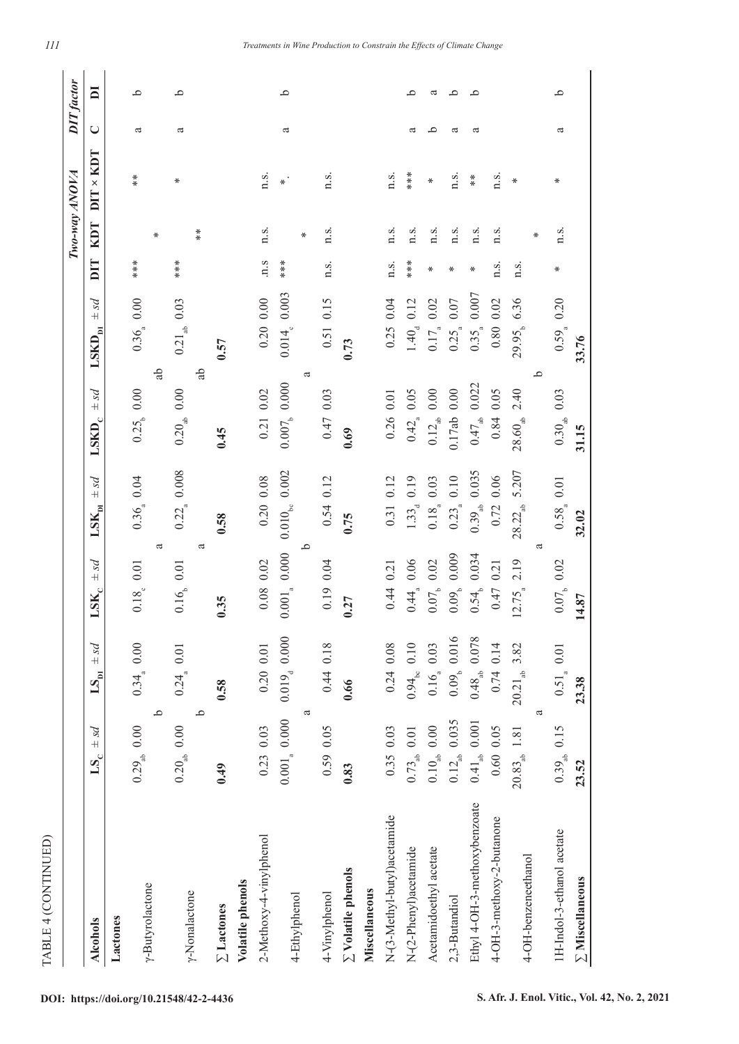|                                       |                                            |                                           |                                      |                                   |                                 |                                  |        |                      | Two-way ANOVA    |        | <b>DIT</b> factor       |
|---------------------------------------|--------------------------------------------|-------------------------------------------|--------------------------------------|-----------------------------------|---------------------------------|----------------------------------|--------|----------------------|------------------|--------|-------------------------|
| <b>Alcohols</b>                       | ps4<br>$\mathbf{L}\mathbf{S}_{\mathrm{C}}$ | ps4<br>$\mathbf{L}\mathbf{S}_{\text{pi}}$ | psd<br>$\mathbf{LSK}_\mathrm{C}$     | ps4<br>$\mathbf{LSK}_{\text{pi}}$ | ps4<br>$\text{LSKD}_\text{c}$   | ps4<br>$\text{LSKD}_{\text{DI}}$ | DIT    | <b>RDT</b>           | $DIT \times KDT$ | $\cup$ | $\overline{\mathbf{a}}$ |
| Lactones                              |                                            |                                           |                                      |                                   |                                 |                                  |        |                      |                  |        |                         |
| y-Butyrolactone                       | $0.29_{ab}$ 0.00                           | $0.34\ 0.00$                              | 0.18, 0.01                           | 0.36 <sub>a</sub> 0.04            | 0.25, 0.00                      | 0.36 <sub>a</sub> 0.00           | ***    | ₩                    | $*$              | a      | م                       |
|                                       | م<br>$0.20_{ab}$ 0.00                      | 0.24, 0.01                                | a<br>$0.16$ <sub>6</sub> 0.01        | $0.22a$ 0.008                     | $0.20_{\text{ab}}$ 0.00         | $0.21_{ab}$ 0.03<br>ಕ್ಲಿ         | ***    |                      | ⋇                | a      | م                       |
| y-Nonalactone                         | م                                          |                                           | ß                                    |                                   |                                 | Ъ                                |        | $\stackrel{*}{\ast}$ |                  |        |                         |
| Volatile phenols<br>$\Sigma$ Lactones | 0.49                                       | 0.58                                      | 0.35                                 | 0.58                              | 0.45                            | 0.57                             |        |                      |                  |        |                         |
|                                       | $0.23$ 0.03                                |                                           |                                      |                                   |                                 |                                  |        |                      |                  |        |                         |
| 2-Methoxy-4-vinylphenol               |                                            | $0.20$ 0.01                               | $0.08$ 0.02                          | 0.20 0.08                         | $0.21$ $0.02$                   | $0.20\ 0.00$                     | 1.5    | n.s.                 | n.s.             |        |                         |
| 4-Ethylphenol                         | a<br>$0.001_{a}$ 0.000                     | $0.019_{\rm d}$ 0.000                     | م<br>$0.001_{\tiny{\text{a}}} 0.000$ | $0.010_{\rm{bc}}$ 0.002           | ß<br>$0.007$ <sub>b</sub> 0.000 | $0.014e$ 0.003                   | ****   | ⋇                    | $\ast$ .         | ದ      | ٩                       |
| 4-Vinylphenol                         | 0.59 0.05                                  | 0.44 0.18                                 | 0.04<br>0.19                         | 0.12<br>0.54                      | 0.47 0.03                       | 0.15<br>0.51                     | n.s.   | n.s.                 | n.s.             |        |                         |
| $\Sigma$ Volatile phenols             | 0.83                                       | 0.66                                      | 0.27                                 | 0.75                              | 0.69                            | 0.73                             |        |                      |                  |        |                         |
| Miscellaneous                         |                                            |                                           |                                      |                                   |                                 |                                  |        |                      |                  |        |                         |
| N-(3-Methyl-butyl)acetamide           | $0.35$ 0.03                                | $0.24$ 0.08                               | $0.44$ 0.21                          | 0.12<br>0.31                      | $0.26$ 0.01                     | 0.04<br>0.25                     | n.s.   | n.s.                 | n.s.             |        |                         |
| N-(2-Phenyl)acetamide                 | $0.73_{ab}$ 0.01                           | $0.94_{\rm bc}$ 0.10                      | $0.06$<br>0.44                       | 0.19<br>$1.33_{d}$                | $0.42_{\circ}$ 0.05             | 0.12<br>$1.40_{d}$               | ***    | n.s.                 | $***$            | ದ      | م                       |
| Acetamidoethyl acetate                | $0.10_{ab}$ 0.00                           | $0.16_{_8}$ 0.03                          | $0.07$ <sub>b</sub> $0.02$           | 0.03<br>$0.18^{0.000}$            | $0.12_{\rm ab}$ 0.00            | $0.02\,$<br>$0.17_{\tiny a}$     | ⋇      | n.s.                 | ⋇                | م      | a                       |
| 2,3-Butandiol                         | $0.12_{ab}$ 0.035                          | 0.09 <sub>b</sub> 0.016                   | 0.009<br>0.09 <sub>b</sub>           | 0.10<br>0.23                      | $0.17ab$ 0.00                   | $0.07$<br>$0.25_a$               | ⋇      | n.s.                 | n.s.             | ದ      | م                       |
| Ethyl 4-OH-3-methoxybenzoate          | $0.41_{ab}$ 0.001                          | $0.48_{\rm ab}$ 0.078                     | 0.034<br>$0.54^{+}$                  | 0.035<br>$0.39_{ab}$              | $0.47_{ab}$ 0.022               | 0.007<br>$0.35_a$                | ⋇      | n.s.                 | $*$              | ದ      | م                       |
| 4-OH-3-methoxy-2-butanone             | 0.60 0.05                                  | $0.74$ 0.14                               | 0.21<br>0.47                         | 0.06<br>0.72                      | 0.84 0.05                       | $0.80$ $0.02$                    | n.s.   | n.s.                 | n.s.             |        |                         |
| 4-OH-benzeneethanol                   | $20.83_{ab}$ 1.81                          | $20.21_{ab}$ 3.82                         | 2.19<br>$12.75^{12.75}$              | 5.207<br>$28.22_{ab}$             | $28.60_{ab}$ 2.40               | 29.95, 6.36                      | n.s.   | ⋇                    | ₩                |        |                         |
|                                       | a                                          |                                           | ದ                                    |                                   | م                               |                                  |        |                      |                  |        |                         |
| 1H-Indol-3-ethanol acetate            | $0.39_{ab}$ 0.15                           | $0.51_{\tiny a}$ 0.01                     | 0.07, 0.02                           | 0.58, 0.01                        | $0.30_{ab}$ 0.03                | 0.20<br>$0.59^{4}$               | $\ast$ | n.s.                 | ⋇                | ದ      | م                       |
| $\Sigma$ Miscellaneous                | 23.52                                      | 23.38                                     | 14.87                                | 32.02                             | 31.15                           | 33.76                            |        |                      |                  |        |                         |

TABLE 4 (CONTINUED) TABLE 4 (CONTINUED)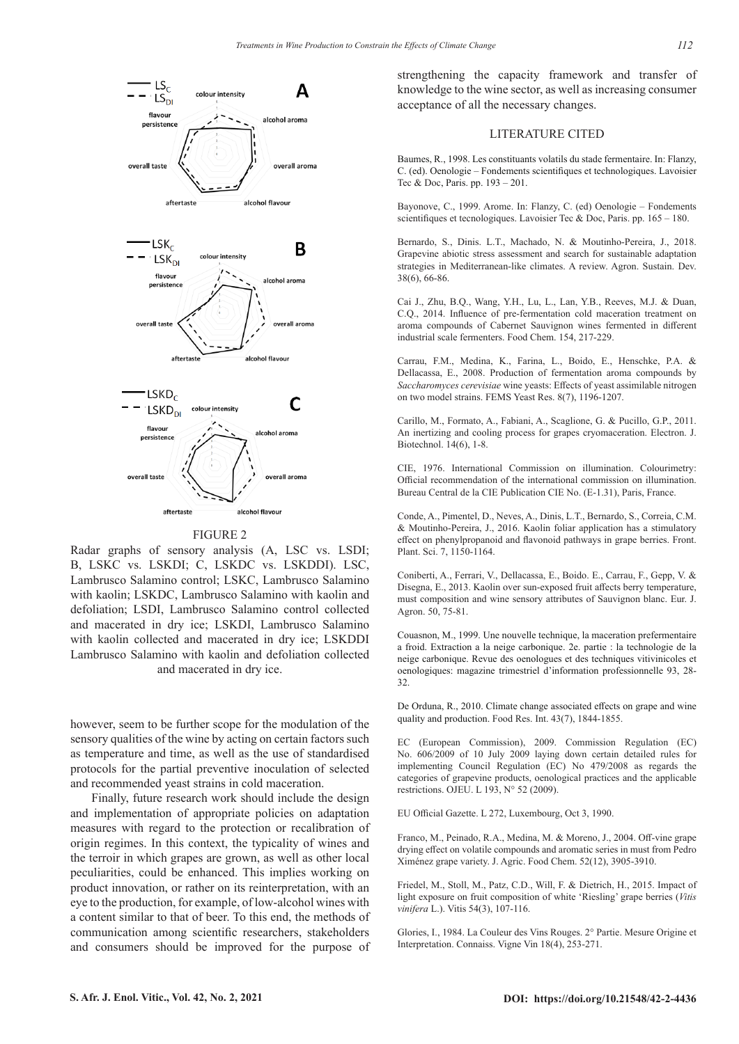

#### **FIGURE 2**

Radar graphs of sensory analysis (A, LSC vs. LSDI; B, LSKC vs. LSKDI; C, LSKDC vs. LSKDDI). LSC, Lambrusco Salamino control; LSKC, Lambrusco Salamino with kaolin; LSKDC, Lambrusco Salamino with kaolin and defoliation; LSDI, Lambrusco Salamino control collected and macerated in dry ice; LSKDI, Lambrusco Salamino with kaolin collected and macerated in dry ice; LSKDDI Lambrusco Salamino with kaolin and defoliation collected and macerated in dry ice.

however, seem to be further scope for the modulation of the sensory qualities of the wine by acting on certain factors such as temperature and time, as well as the use of standardised protocols for the partial preventive inoculation of selected and recommended yeast strains in cold maceration.

Finally, future research work should include the design and implementation of appropriate policies on adaptation measures with regard to the protection or recalibration of origin regimes. In this context, the typicality of wines and the terroir in which grapes are grown, as well as other local peculiarities, could be enhanced. This implies working on product innovation, or rather on its reinterpretation, with an eye to the production, for example, of low-alcohol wines with a content similar to that of beer. To this end, the methods of communication among scientific researchers, stakeholders and consumers should be improved for the purpose of

strengthening the capacity framework and transfer of knowledge to the wine sector, as well as increasing consumer acceptance of all the necessary changes.

#### LITERATURE CITED

Baumes, R., 1998. Les constituants volatils du stade fermentaire. In: Flanzy, C. (ed). Oenologie – Fondements scientifiques et technologiques. Lavoisier Tec & Doc, Paris. pp. 193 – 201.

Bayonove, C., 1999. Arome. In: Flanzy, C. (ed) Oenologie – Fondements scientifiques et tecnologiques. Lavoisier Tec & Doc, Paris. pp. 165 - 180.

Bernardo, S., Dinis. L.T., Machado, N. & Moutinho-Pereira, J., 2018. Grapevine abiotic stress assessment and search for sustainable adaptation strategies in Mediterranean-like climates. A review. Agron. Sustain. Dev. 38(6), 66-86.

Cai J., Zhu, B.Q., Wang, Y.H., Lu, L., Lan, Y.B., Reeves, M.J. & Duan, C.Q., 2014. Influence of pre-fermentation cold maceration treatment on aroma compounds of Cabernet Sauvignon wines fermented in different industrial scale fermenters. Food Chem. 154, 217-229.

Carrau, F.M., Medina, K., Farina, L., Boido, E., Henschke, P.A. & Dellacassa, E., 2008. Production of fermentation aroma compounds by *Saccharomyces cerevisiae* wine yeasts: Effects of yeast assimilable nitrogen on two model strains. FEMS Yeast Res. 8(7), 1196-1207.

Carillo, M., Formato, A., Fabiani, A., Scaglione, G. & Pucillo, G.P., 2011. An inertizing and cooling process for grapes cryomaceration. Electron. J. Biotechnol. 14(6), 1-8.

CIE, 1976. International Commission on illumination. Colourimetry: Official recommendation of the international commission on illumination. Bureau Central de la CIE Publication CIE No. (E-1.31), Paris, France.

Conde, A., Pimentel, D., Neves, A., Dinis, L.T., Bernardo, S., Correia, C.M. & Moutinho-Pereira, J., 2016. Kaolin foliar application has a stimulatory effect on phenylpropanoid and flavonoid pathways in grape berries. Front. Plant. Sci. 7, 1150-1164.

Coniberti, A., Ferrari, V., Dellacassa, E., Boido. E., Carrau, F., Gepp, V. & Disegna, E., 2013. Kaolin over sun-exposed fruit affects berry temperature, must composition and wine sensory attributes of Sauvignon blanc. Eur. J. Agron. 50, 75-81.

Couasnon, M., 1999. Une nouvelle technique, la maceration prefermentaire a froid. Extraction a la neige carbonique. 2e. partie : la technologie de la neige carbonique. Revue des oenologues et des techniques vitivinicoles et oenologiques: magazine trimestriel d'information professionnelle 93, 28- 32.

De Orduna, R., 2010. Climate change associated effects on grape and wine quality and production. Food Res. Int. 43(7), 1844-1855.

EC (European Commission), 2009. Commission Regulation (EC) No. 606/2009 of 10 July 2009 laying down certain detailed rules for implementing Council Regulation (EC) No 479/2008 as regards the categories of grapevine products, oenological practices and the applicable restrictions. OJEU. L 193, N° 52 (2009).

EU Official Gazette. L 272, Luxembourg, Oct 3, 1990.

Franco, M., Peinado, R.A., Medina, M. & Moreno, J., 2004. Off-vine grape drying effect on volatile compounds and aromatic series in must from Pedro Ximénez grape variety. J. Agric. Food Chem. 52(12), 3905-3910.

Friedel, M., Stoll, M., Patz, C.D., Will, F. & Dietrich, H., 2015. Impact of light exposure on fruit composition of white 'Riesling' grape berries (*Vitis vinifera* L.). Vitis 54(3), 107-116.

Glories, I., 1984. La Couleur des Vins Rouges. 2° Partie. Mesure Origine et Interpretation. Connaiss. Vigne Vin 18(4), 253-271.